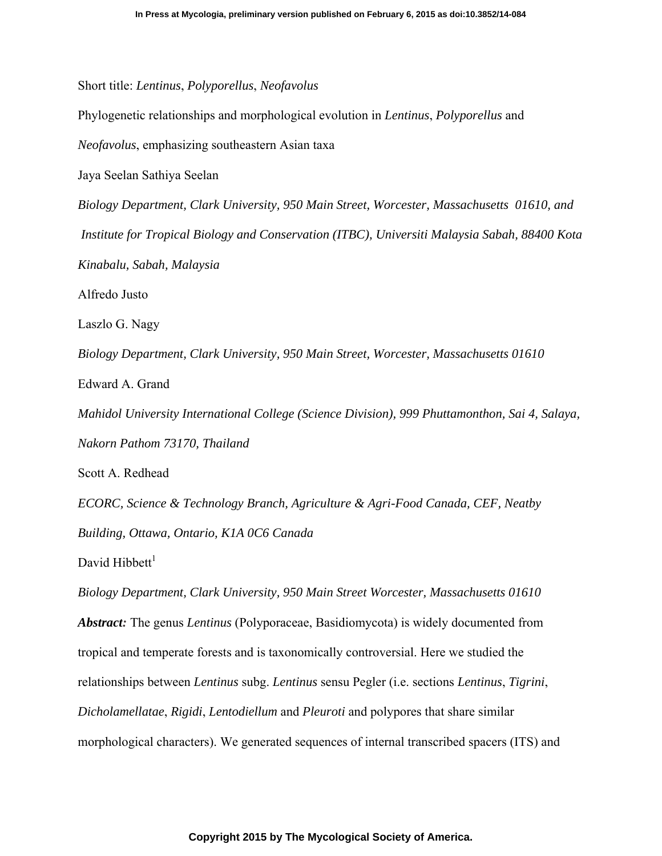Short title: *Lentinus*, *Polyporellus*, *Neofavolus*

Phylogenetic relationships and morphological evolution in *Lentinus*, *Polyporellus* and

*Neofavolus*, emphasizing southeastern Asian taxa

Jaya Seelan Sathiya Seelan

*Biology Department, Clark University, 950 Main Street, Worcester, Massachusetts 01610, and Institute for Tropical Biology and Conservation (ITBC), Universiti Malaysia Sabah, 88400 Kota Kinabalu, Sabah, Malaysia*  Alfredo Justo Laszlo G. Nagy

*Biology Department, Clark University, 950 Main Street, Worcester, Massachusetts 01610* 

Edward A. Grand

*Mahidol University International College (Science Division), 999 Phuttamonthon, Sai 4, Salaya, Nakorn Pathom 73170, Thailand* 

Scott A. Redhead

*ECORC, Science & Technology Branch, Agriculture & Agri-Food Canada, CEF, Neatby Building, Ottawa, Ontario, K1A 0C6 Canada* 

David Hibbett $<sup>1</sup>$ </sup>

*Biology Department, Clark University, 950 Main Street Worcester, Massachusetts 01610 Abstract:* The genus *Lentinus* (Polyporaceae, Basidiomycota) is widely documented from tropical and temperate forests and is taxonomically controversial. Here we studied the relationships between *Lentinus* subg. *Lentinus* sensu Pegler (i.e. sections *Lentinus*, *Tigrini*, *Dicholamellatae*, *Rigidi*, *Lentodiellum* and *Pleuroti* and polypores that share similar morphological characters). We generated sequences of internal transcribed spacers (ITS) and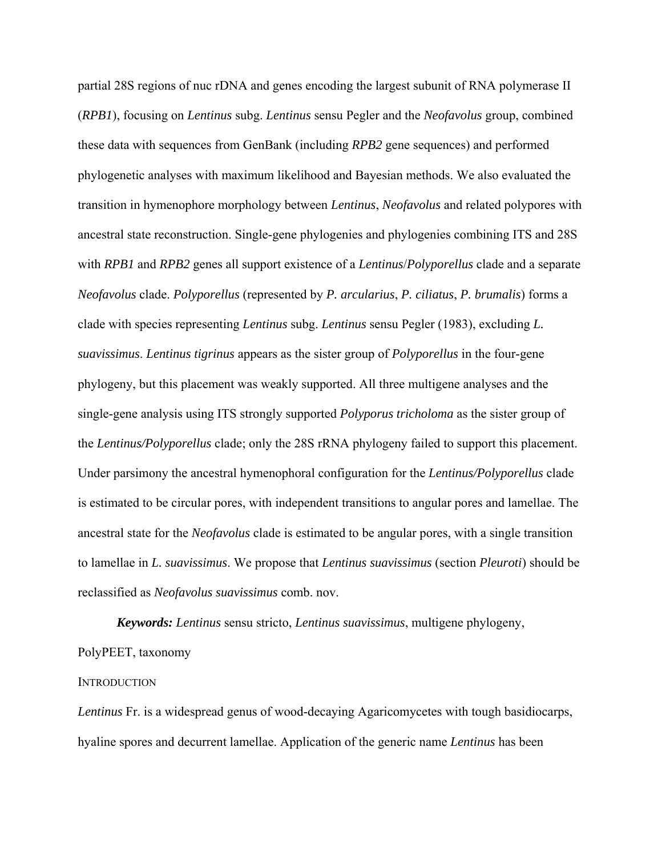partial 28S regions of nuc rDNA and genes encoding the largest subunit of RNA polymerase II (*RPB1*), focusing on *Lentinus* subg. *Lentinus* sensu Pegler and the *Neofavolus* group, combined these data with sequences from GenBank (including *RPB2* gene sequences) and performed phylogenetic analyses with maximum likelihood and Bayesian methods. We also evaluated the transition in hymenophore morphology between *Lentinus*, *Neofavolus* and related polypores with ancestral state reconstruction. Single-gene phylogenies and phylogenies combining ITS and 28S with *RPB1* and *RPB2* genes all support existence of a *Lentinus*/*Polyporellus* clade and a separate *Neofavolus* clade. *Polyporellus* (represented by *P. arcularius*, *P. ciliatus*, *P. brumalis*) forms a clade with species representing *Lentinus* subg. *Lentinus* sensu Pegler (1983), excluding *L. suavissimus*. *Lentinus tigrinus* appears as the sister group of *Polyporellus* in the four-gene phylogeny, but this placement was weakly supported. All three multigene analyses and the single-gene analysis using ITS strongly supported *Polyporus tricholoma* as the sister group of the *Lentinus/Polyporellus* clade; only the 28S rRNA phylogeny failed to support this placement. Under parsimony the ancestral hymenophoral configuration for the *Lentinus/Polyporellus* clade is estimated to be circular pores, with independent transitions to angular pores and lamellae. The ancestral state for the *Neofavolus* clade is estimated to be angular pores, with a single transition to lamellae in *L. suavissimus*. We propose that *Lentinus suavissimus* (section *Pleuroti*) should be reclassified as *Neofavolus suavissimus* comb. nov.

*Keywords: Lentinus* sensu stricto, *Lentinus suavissimus*, multigene phylogeny, PolyPEET, taxonomy

### **INTRODUCTION**

*Lentinus* Fr. is a widespread genus of wood-decaying Agaricomycetes with tough basidiocarps, hyaline spores and decurrent lamellae. Application of the generic name *Lentinus* has been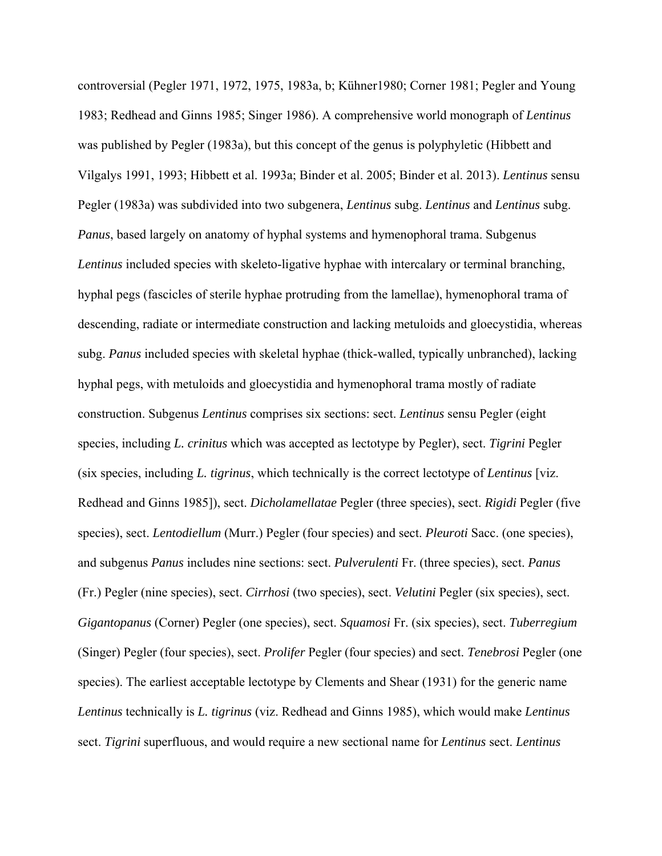controversial (Pegler 1971, 1972, 1975, 1983a, b; Kühner1980; Corner 1981; Pegler and Young 1983; Redhead and Ginns 1985; Singer 1986). A comprehensive world monograph of *Lentinus* was published by Pegler (1983a), but this concept of the genus is polyphyletic (Hibbett and Vilgalys 1991, 1993; Hibbett et al. 1993a; Binder et al. 2005; Binder et al. 2013). *Lentinus* sensu Pegler (1983a) was subdivided into two subgenera, *Lentinus* subg. *Lentinus* and *Lentinus* subg. *Panus*, based largely on anatomy of hyphal systems and hymenophoral trama. Subgenus *Lentinus* included species with skeleto-ligative hyphae with intercalary or terminal branching, hyphal pegs (fascicles of sterile hyphae protruding from the lamellae), hymenophoral trama of descending, radiate or intermediate construction and lacking metuloids and gloecystidia, whereas subg. *Panus* included species with skeletal hyphae (thick-walled, typically unbranched), lacking hyphal pegs, with metuloids and gloecystidia and hymenophoral trama mostly of radiate construction. Subgenus *Lentinus* comprises six sections: sect. *Lentinus* sensu Pegler (eight species, including *L. crinitus* which was accepted as lectotype by Pegler), sect. *Tigrini* Pegler (six species, including *L. tigrinus*, which technically is the correct lectotype of *Lentinus* [viz. Redhead and Ginns 1985]), sect. *Dicholamellatae* Pegler (three species), sect. *Rigidi* Pegler (five species), sect. *Lentodiellum* (Murr.) Pegler (four species) and sect. *Pleuroti* Sacc. (one species), and subgenus *Panus* includes nine sections: sect. *Pulverulenti* Fr. (three species), sect. *Panus* (Fr.) Pegler (nine species), sect. *Cirrhosi* (two species), sect. *Velutini* Pegler (six species), sect. *Gigantopanus* (Corner) Pegler (one species), sect. *Squamosi* Fr. (six species), sect. *Tuberregium* (Singer) Pegler (four species), sect. *Prolifer* Pegler (four species) and sect. *Tenebrosi* Pegler (one species). The earliest acceptable lectotype by Clements and Shear (1931) for the generic name *Lentinus* technically is *L. tigrinus* (viz. Redhead and Ginns 1985), which would make *Lentinus* sect. *Tigrini* superfluous, and would require a new sectional name for *Lentinus* sect. *Lentinus*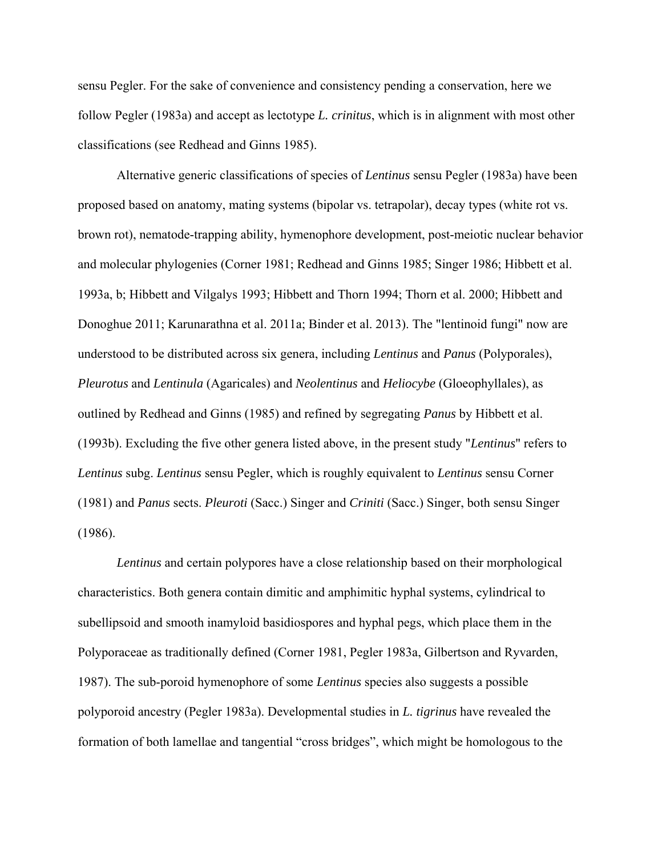sensu Pegler. For the sake of convenience and consistency pending a conservation, here we follow Pegler (1983a) and accept as lectotype *L. crinitus*, which is in alignment with most other classifications (see Redhead and Ginns 1985).

Alternative generic classifications of species of *Lentinus* sensu Pegler (1983a) have been proposed based on anatomy, mating systems (bipolar vs. tetrapolar), decay types (white rot vs. brown rot), nematode-trapping ability, hymenophore development, post-meiotic nuclear behavior and molecular phylogenies (Corner 1981; Redhead and Ginns 1985; Singer 1986; Hibbett et al. 1993a, b; Hibbett and Vilgalys 1993; Hibbett and Thorn 1994; Thorn et al. 2000; Hibbett and Donoghue 2011; Karunarathna et al. 2011a; Binder et al. 2013). The "lentinoid fungi" now are understood to be distributed across six genera, including *Lentinus* and *Panus* (Polyporales), *Pleurotus* and *Lentinula* (Agaricales) and *Neolentinus* and *Heliocybe* (Gloeophyllales), as outlined by Redhead and Ginns (1985) and refined by segregating *Panus* by Hibbett et al. (1993b). Excluding the five other genera listed above, in the present study "*Lentinus*" refers to *Lentinus* subg. *Lentinus* sensu Pegler, which is roughly equivalent to *Lentinus* sensu Corner (1981) and *Panus* sects. *Pleuroti* (Sacc.) Singer and *Criniti* (Sacc.) Singer, both sensu Singer (1986).

*Lentinus* and certain polypores have a close relationship based on their morphological characteristics. Both genera contain dimitic and amphimitic hyphal systems, cylindrical to subellipsoid and smooth inamyloid basidiospores and hyphal pegs, which place them in the Polyporaceae as traditionally defined (Corner 1981, Pegler 1983a, Gilbertson and Ryvarden, 1987). The sub-poroid hymenophore of some *Lentinus* species also suggests a possible polyporoid ancestry (Pegler 1983a). Developmental studies in *L. tigrinus* have revealed the formation of both lamellae and tangential "cross bridges", which might be homologous to the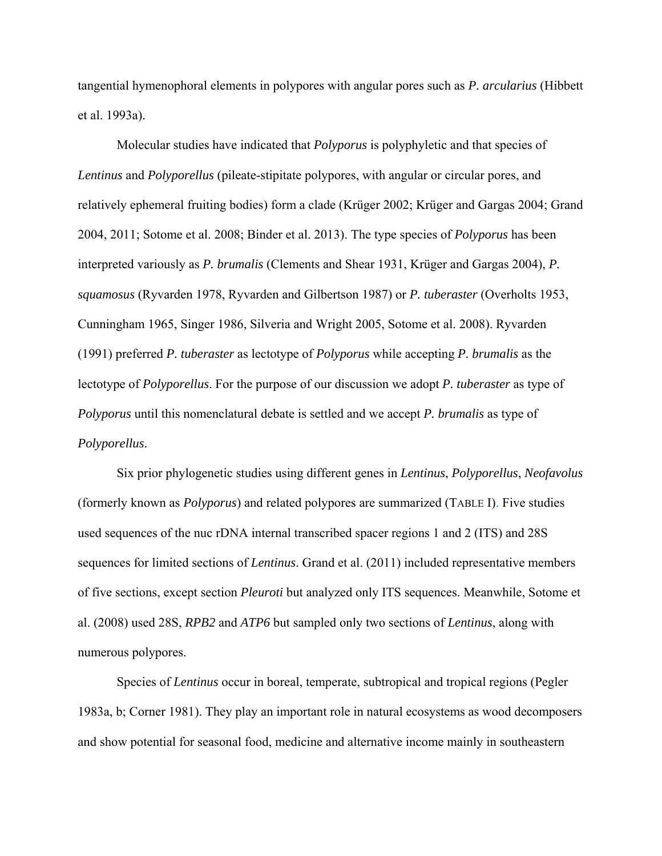tangential hymenophoral elements in polypores with angular pores such as *P. arcularius* (Hibbett et al. 1993a).

Molecular studies have indicated that *Polyporus* is polyphyletic and that species of *Lentinus* and *Polyporellus* (pileate-stipitate polypores, with angular or circular pores, and relatively ephemeral fruiting bodies) form a clade (Krüger 2002; Krüger and Gargas 2004; Grand 2004, 2011; Sotome et al. 2008; Binder et al. 2013). The type species of *Polyporus* has been interpreted variously as *P. brumalis* (Clements and Shear 1931, Krüger and Gargas 2004), *P. squamosus* (Ryvarden 1978, Ryvarden and Gilbertson 1987) or *P. tuberaster* (Overholts 1953, Cunningham 1965, Singer 1986, Silveria and Wright 2005, Sotome et al. 2008). Ryvarden (1991) preferred *P. tuberaster* as lectotype of *Polyporus* while accepting *P. brumalis* as the lectotype of *Polyporellus*. For the purpose of our discussion we adopt *P. tuberaster* as type of *Polyporus* until this nomenclatural debate is settled and we accept *P. brumalis* as type of *Polyporellus*.

Six prior phylogenetic studies using different genes in *Lentinus*, *Polyporellus*, *Neofavolus* (formerly known as *Polyporus*) and related polypores are summarized (TABLE I). Five studies used sequences of the nuc rDNA internal transcribed spacer regions 1 and 2 (ITS) and 28S sequences for limited sections of *Lentinus*. Grand et al. (2011) included representative members of five sections, except section *Pleuroti* but analyzed only ITS sequences. Meanwhile, Sotome et al. (2008) used 28S, *RPB2* and *ATP6* but sampled only two sections of *Lentinus*, along with numerous polypores.

Species of *Lentinus* occur in boreal, temperate, subtropical and tropical regions (Pegler 1983a, b; Corner 1981). They play an important role in natural ecosystems as wood decomposers and show potential for seasonal food, medicine and alternative income mainly in southeastern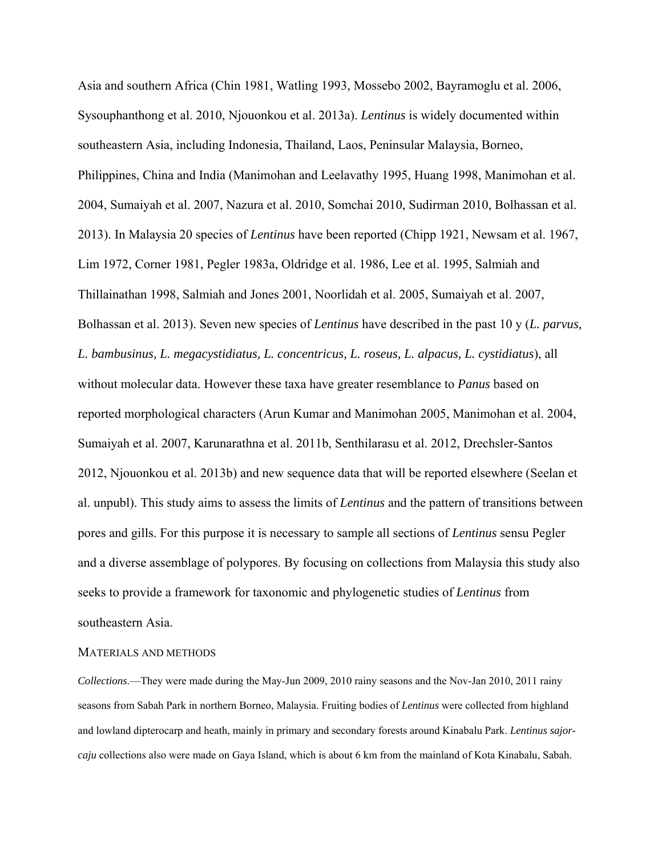Asia and southern Africa (Chin 1981, Watling 1993, Mossebo 2002, Bayramoglu et al. 2006, Sysouphanthong et al. 2010, Njouonkou et al. 2013a). *Lentinus* is widely documented within southeastern Asia, including Indonesia, Thailand, Laos, Peninsular Malaysia, Borneo, Philippines, China and India (Manimohan and Leelavathy 1995, Huang 1998, Manimohan et al. 2004, Sumaiyah et al. 2007, Nazura et al. 2010, Somchai 2010, Sudirman 2010, Bolhassan et al. 2013). In Malaysia 20 species of *Lentinus* have been reported (Chipp 1921, Newsam et al. 1967, Lim 1972, Corner 1981, Pegler 1983a, Oldridge et al. 1986, Lee et al. 1995, Salmiah and Thillainathan 1998, Salmiah and Jones 2001, Noorlidah et al. 2005, Sumaiyah et al. 2007, Bolhassan et al. 2013). Seven new species of *Lentinus* have described in the past 10 y (*L. parvus, L. bambusinus, L. megacystidiatus, L. concentricus, L. roseus, L. alpacus, L. cystidiatus*), all without molecular data. However these taxa have greater resemblance to *Panus* based on reported morphological characters (Arun Kumar and Manimohan 2005, Manimohan et al. 2004, Sumaiyah et al. 2007, Karunarathna et al. 2011b, Senthilarasu et al. 2012, Drechsler-Santos 2012, Njouonkou et al. 2013b) and new sequence data that will be reported elsewhere (Seelan et al. unpubl). This study aims to assess the limits of *Lentinus* and the pattern of transitions between pores and gills. For this purpose it is necessary to sample all sections of *Lentinus* sensu Pegler and a diverse assemblage of polypores. By focusing on collections from Malaysia this study also seeks to provide a framework for taxonomic and phylogenetic studies of *Lentinus* from southeastern Asia.

### MATERIALS AND METHODS

*Collections*.—They were made during the May-Jun 2009, 2010 rainy seasons and the Nov-Jan 2010, 2011 rainy seasons from Sabah Park in northern Borneo, Malaysia. Fruiting bodies of *Lentinus* were collected from highland and lowland dipterocarp and heath, mainly in primary and secondary forests around Kinabalu Park. *Lentinus sajorcaju* collections also were made on Gaya Island, which is about 6 km from the mainland of Kota Kinabalu, Sabah.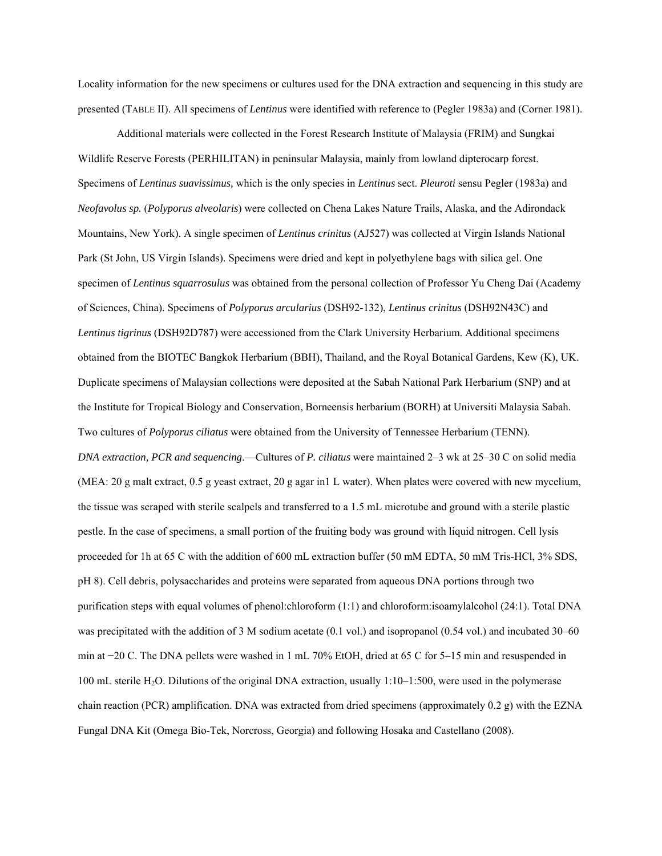Locality information for the new specimens or cultures used for the DNA extraction and sequencing in this study are presented (TABLE II). All specimens of *Lentinus* were identified with reference to (Pegler 1983a) and (Corner 1981).

Additional materials were collected in the Forest Research Institute of Malaysia (FRIM) and Sungkai Wildlife Reserve Forests (PERHILITAN) in peninsular Malaysia, mainly from lowland dipterocarp forest. Specimens of *Lentinus suavissimus,* which is the only species in *Lentinus* sect. *Pleuroti* sensu Pegler (1983a) and *Neofavolus sp.* (*Polyporus alveolaris*) were collected on Chena Lakes Nature Trails, Alaska, and the Adirondack Mountains, New York). A single specimen of *Lentinus crinitus* (AJ527) was collected at Virgin Islands National Park (St John, US Virgin Islands). Specimens were dried and kept in polyethylene bags with silica gel. One specimen of *Lentinus squarrosulus* was obtained from the personal collection of Professor Yu Cheng Dai (Academy of Sciences, China). Specimens of *Polyporus arcularius* (DSH92-132), *Lentinus crinitus* (DSH92N43C) and *Lentinus tigrinus* (DSH92D787) were accessioned from the Clark University Herbarium. Additional specimens obtained from the BIOTEC Bangkok Herbarium (BBH), Thailand, and the Royal Botanical Gardens, Kew (K), UK. Duplicate specimens of Malaysian collections were deposited at the Sabah National Park Herbarium (SNP) and at the Institute for Tropical Biology and Conservation, Borneensis herbarium (BORH) at Universiti Malaysia Sabah. Two cultures of *Polyporus ciliatus* were obtained from the University of Tennessee Herbarium (TENN). *DNA extraction, PCR and sequencing*.—Cultures of *P. ciliatus* were maintained 2–3 wk at 25–30 C on solid media (MEA: 20 g malt extract, 0.5 g yeast extract, 20 g agar in1 L water). When plates were covered with new mycelium, the tissue was scraped with sterile scalpels and transferred to a 1.5 mL microtube and ground with a sterile plastic pestle. In the case of specimens, a small portion of the fruiting body was ground with liquid nitrogen. Cell lysis proceeded for 1h at 65 C with the addition of 600 mL extraction buffer (50 mM EDTA, 50 mM Tris-HCl, 3% SDS, pH 8). Cell debris, polysaccharides and proteins were separated from aqueous DNA portions through two purification steps with equal volumes of phenol:chloroform (1:1) and chloroform:isoamylalcohol (24:1). Total DNA was precipitated with the addition of 3 M sodium acetate (0.1 vol.) and isopropanol (0.54 vol.) and incubated 30–60 min at −20 C. The DNA pellets were washed in 1 mL 70% EtOH, dried at 65 C for 5–15 min and resuspended in 100 mL sterile H2O. Dilutions of the original DNA extraction, usually 1:10–1:500, were used in the polymerase chain reaction (PCR) amplification. DNA was extracted from dried specimens (approximately 0.2 g) with the EZNA Fungal DNA Kit (Omega Bio-Tek, Norcross, Georgia) and following Hosaka and Castellano (2008).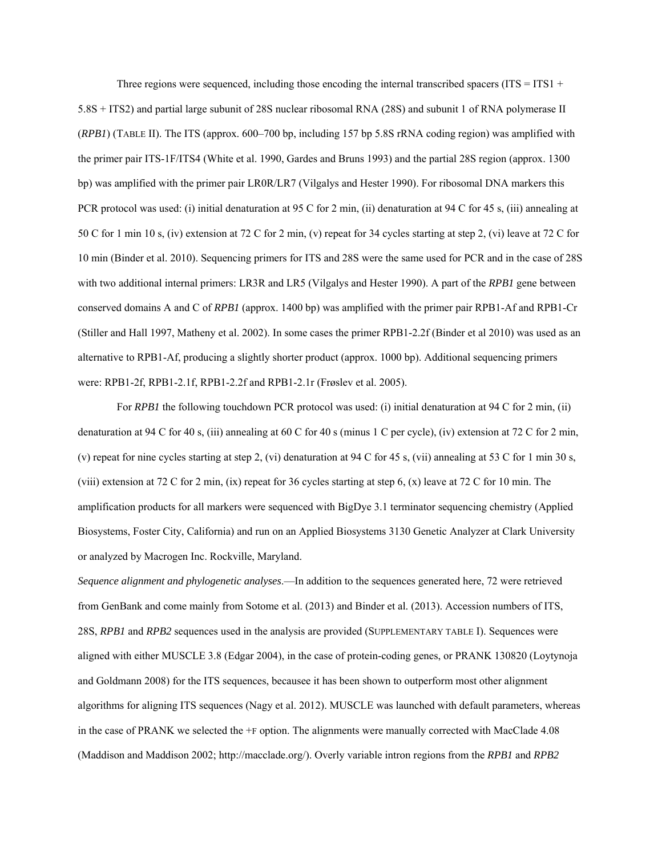Three regions were sequenced, including those encoding the internal transcribed spacers ( $ITS = ITS1 +$ 5.8S + ITS2) and partial large subunit of 28S nuclear ribosomal RNA (28S) and subunit 1 of RNA polymerase II (*RPB1*) (TABLE II). The ITS (approx. 600–700 bp, including 157 bp 5.8S rRNA coding region) was amplified with the primer pair ITS-1F/ITS4 (White et al. 1990, Gardes and Bruns 1993) and the partial 28S region (approx. 1300 bp) was amplified with the primer pair LR0R/LR7 (Vilgalys and Hester 1990). For ribosomal DNA markers this PCR protocol was used: (i) initial denaturation at 95 C for 2 min, (ii) denaturation at 94 C for 45 s, (iii) annealing at 50 C for 1 min 10 s, (iv) extension at 72 C for 2 min, (v) repeat for 34 cycles starting at step 2, (vi) leave at 72 C for 10 min (Binder et al. 2010). Sequencing primers for ITS and 28S were the same used for PCR and in the case of 28S with two additional internal primers: LR3R and LR5 (Vilgalys and Hester 1990). A part of the *RPB1* gene between conserved domains A and C of *RPB1* (approx. 1400 bp) was amplified with the primer pair RPB1-Af and RPB1-Cr (Stiller and Hall 1997, Matheny et al. 2002). In some cases the primer RPB1*-*2.2f (Binder et al 2010) was used as an alternative to RPB1-Af, producing a slightly shorter product (approx. 1000 bp). Additional sequencing primers were: RPB1-2f, RPB1-2.1f, RPB1-2.2f and RPB1-2.1r (Frøslev et al. 2005).

For *RPB1* the following touchdown PCR protocol was used: (i) initial denaturation at 94 C for 2 min, (ii) denaturation at 94 C for 40 s, (iii) annealing at 60 C for 40 s (minus 1 C per cycle), (iv) extension at 72 C for 2 min, (v) repeat for nine cycles starting at step 2, (vi) denaturation at 94 C for 45 s, (vii) annealing at 53 C for 1 min 30 s, (viii) extension at 72 C for 2 min, (ix) repeat for 36 cycles starting at step 6, (x) leave at 72 C for 10 min. The amplification products for all markers were sequenced with BigDye 3.1 terminator sequencing chemistry (Applied Biosystems, Foster City, California) and run on an Applied Biosystems 3130 Genetic Analyzer at Clark University or analyzed by Macrogen Inc. Rockville, Maryland.

*Sequence alignment and phylogenetic analyses*.—In addition to the sequences generated here, 72 were retrieved from GenBank and come mainly from Sotome et al. (2013) and Binder et al. (2013). Accession numbers of ITS, 28S, *RPB1* and *RPB2* sequences used in the analysis are provided (SUPPLEMENTARY TABLE I). Sequences were aligned with either MUSCLE 3.8 (Edgar 2004), in the case of protein-coding genes, or PRANK 130820 (Loytynoja and Goldmann 2008) for the ITS sequences, becausee it has been shown to outperform most other alignment algorithms for aligning ITS sequences (Nagy et al. 2012). MUSCLE was launched with default parameters, whereas in the case of PRANK we selected the +F option. The alignments were manually corrected with MacClade 4.08 (Maddison and Maddison 2002; http://macclade.org/). Overly variable intron regions from the *RPB1* and *RPB2*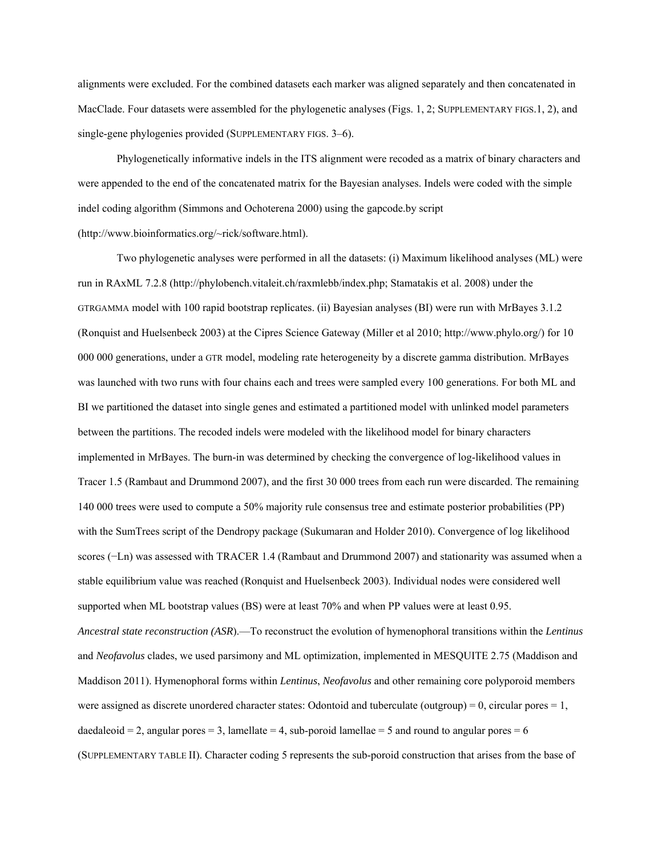alignments were excluded. For the combined datasets each marker was aligned separately and then concatenated in MacClade. Four datasets were assembled for the phylogenetic analyses (Figs. 1, 2; SUPPLEMENTARY FIGS.1, 2), and single-gene phylogenies provided (SUPPLEMENTARY FIGS. 3–6).

Phylogenetically informative indels in the ITS alignment were recoded as a matrix of binary characters and were appended to the end of the concatenated matrix for the Bayesian analyses. Indels were coded with the simple indel coding algorithm (Simmons and Ochoterena 2000) using the gapcode.by script (http://www.bioinformatics.org/~rick/software.html).

Two phylogenetic analyses were performed in all the datasets: (i) Maximum likelihood analyses (ML) were run in RAxML 7.2.8 (http://phylobench.vitaleit.ch/raxmlebb/index.php; Stamatakis et al. 2008) under the GTRGAMMA model with 100 rapid bootstrap replicates. (ii) Bayesian analyses (BI) were run with MrBayes 3.1.2 (Ronquist and Huelsenbeck 2003) at the Cipres Science Gateway (Miller et al 2010; http://www.phylo.org/) for 10 000 000 generations, under a GTR model, modeling rate heterogeneity by a discrete gamma distribution. MrBayes was launched with two runs with four chains each and trees were sampled every 100 generations. For both ML and BI we partitioned the dataset into single genes and estimated a partitioned model with unlinked model parameters between the partitions. The recoded indels were modeled with the likelihood model for binary characters implemented in MrBayes. The burn-in was determined by checking the convergence of log-likelihood values in Tracer 1.5 (Rambaut and Drummond 2007), and the first 30 000 trees from each run were discarded. The remaining 140 000 trees were used to compute a 50% majority rule consensus tree and estimate posterior probabilities (PP) with the SumTrees script of the Dendropy package (Sukumaran and Holder 2010). Convergence of log likelihood scores (−Ln) was assessed with TRACER 1.4 (Rambaut and Drummond 2007) and stationarity was assumed when a stable equilibrium value was reached (Ronquist and Huelsenbeck 2003). Individual nodes were considered well supported when ML bootstrap values (BS) were at least 70% and when PP values were at least 0.95. *Ancestral state reconstruction (ASR*).—To reconstruct the evolution of hymenophoral transitions within the *Lentinus* and *Neofavolus* clades, we used parsimony and ML optimization, implemented in MESQUITE 2.75 (Maddison and Maddison 2011). Hymenophoral forms within *Lentinus*, *Neofavolus* and other remaining core polyporoid members were assigned as discrete unordered character states: Odontoid and tuberculate (outgroup) = 0, circular pores =  $1$ , daedaleoid  $= 2$ , angular pores  $= 3$ , lamellate  $= 4$ , sub-poroid lamellae  $= 5$  and round to angular pores  $= 6$ (SUPPLEMENTARY TABLE II). Character coding 5 represents the sub-poroid construction that arises from the base of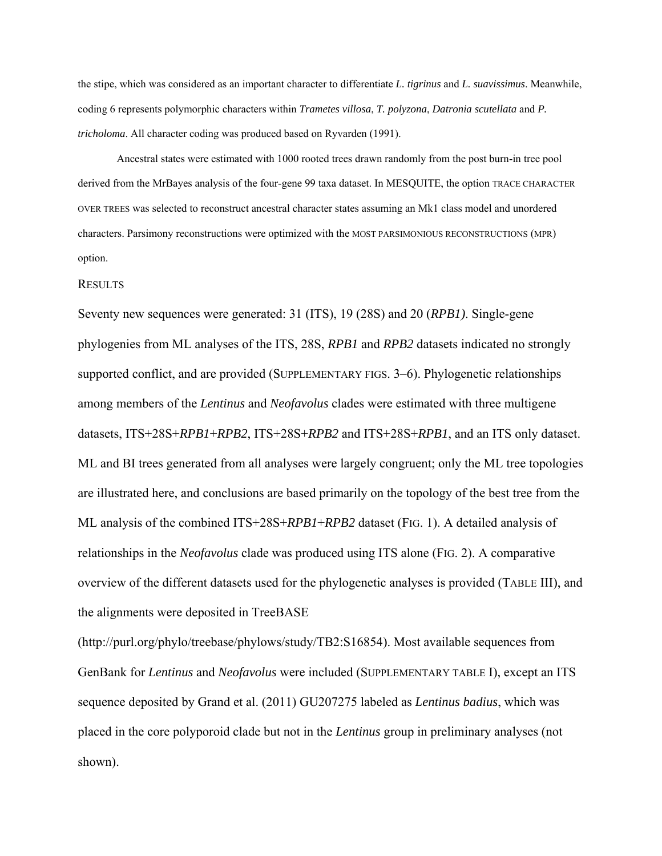the stipe, which was considered as an important character to differentiate *L. tigrinus* and *L. suavissimus*. Meanwhile, coding 6 represents polymorphic characters within *Trametes villosa*, *T. polyzona*, *Datronia scutellata* and *P. tricholoma*. All character coding was produced based on Ryvarden (1991).

Ancestral states were estimated with 1000 rooted trees drawn randomly from the post burn-in tree pool derived from the MrBayes analysis of the four-gene 99 taxa dataset. In MESQUITE, the option TRACE CHARACTER OVER TREES was selected to reconstruct ancestral character states assuming an Mk1 class model and unordered characters. Parsimony reconstructions were optimized with the MOST PARSIMONIOUS RECONSTRUCTIONS (MPR) option.

#### **RESULTS**

Seventy new sequences were generated: 31 (ITS), 19 (28S) and 20 (*RPB1)*. Single-gene phylogenies from ML analyses of the ITS, 28S, *RPB1* and *RPB2* datasets indicated no strongly supported conflict, and are provided (SUPPLEMENTARY FIGS. 3–6). Phylogenetic relationships among members of the *Lentinus* and *Neofavolus* clades were estimated with three multigene datasets, ITS+28S+*RPB1*+*RPB2*, ITS+28S+*RPB2* and ITS+28S+*RPB1*, and an ITS only dataset. ML and BI trees generated from all analyses were largely congruent; only the ML tree topologies are illustrated here, and conclusions are based primarily on the topology of the best tree from the ML analysis of the combined ITS+28S+*RPB1*+*RPB2* dataset (FIG. 1). A detailed analysis of relationships in the *Neofavolus* clade was produced using ITS alone (FIG. 2). A comparative overview of the different datasets used for the phylogenetic analyses is provided (TABLE III), and the alignments were deposited in TreeBASE

(http://purl.org/phylo/treebase/phylows/study/TB2:S16854). Most available sequences from GenBank for *Lentinus* and *Neofavolus* were included (SUPPLEMENTARY TABLE I), except an ITS sequence deposited by Grand et al. (2011) GU207275 labeled as *Lentinus badius*, which was placed in the core polyporoid clade but not in the *Lentinus* group in preliminary analyses (not shown).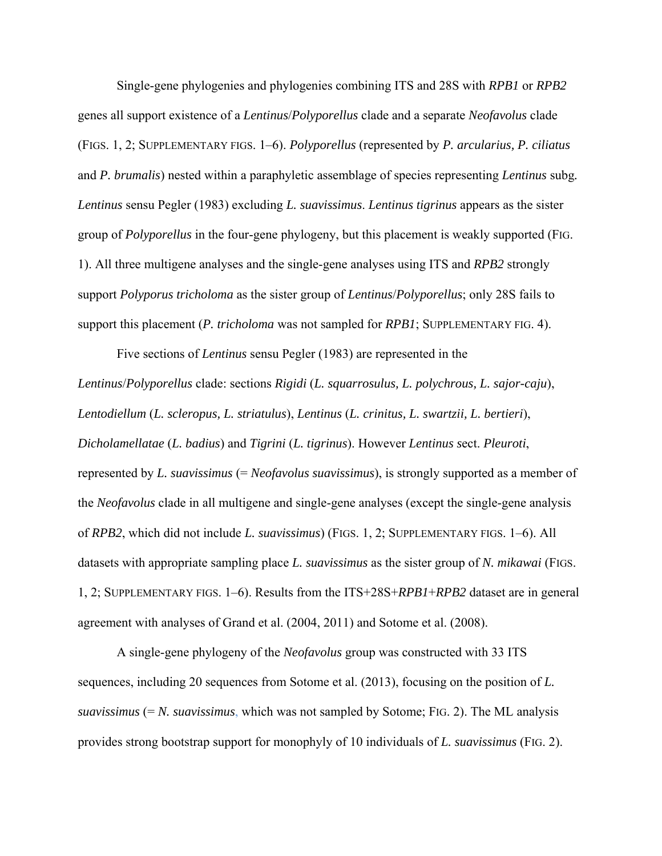Single-gene phylogenies and phylogenies combining ITS and 28S with *RPB1* or *RPB2* genes all support existence of a *Lentinus*/*Polyporellus* clade and a separate *Neofavolus* clade (FIGS. 1, 2; SUPPLEMENTARY FIGS. 1–6). *Polyporellus* (represented by *P. arcularius, P. ciliatus* and *P. brumalis*) nested within a paraphyletic assemblage of species representing *Lentinus* subg*. Lentinus* sensu Pegler (1983) excluding *L. suavissimus*. *Lentinus tigrinus* appears as the sister group of *Polyporellus* in the four-gene phylogeny, but this placement is weakly supported (FIG. 1). All three multigene analyses and the single-gene analyses using ITS and *RPB2* strongly support *Polyporus tricholoma* as the sister group of *Lentinus*/*Polyporellus*; only 28S fails to support this placement (*P. tricholoma* was not sampled for *RPB1*; SUPPLEMENTARY FIG. 4).

 Five sections of *Lentinus* sensu Pegler (1983) are represented in the *Lentinus*/*Polyporellus* clade: sections *Rigidi* (*L. squarrosulus, L. polychrous, L. sajor-caju*), *Lentodiellum* (*L. scleropus, L. striatulus*), *Lentinus* (*L. crinitus, L. swartzii, L. bertieri*), *Dicholamellatae* (*L. badius*) and *Tigrini* (*L. tigrinus*). However *Lentinus s*ect. *Pleuroti*, represented by *L. suavissimus* (= *Neofavolus suavissimus*), is strongly supported as a member of the *Neofavolus* clade in all multigene and single-gene analyses (except the single-gene analysis of *RPB2*, which did not include *L. suavissimus*) (FIGS. 1, 2; SUPPLEMENTARY FIGS. 1–6). All datasets with appropriate sampling place *L. suavissimus* as the sister group of *N. mikawai* (FIGS. 1, 2; SUPPLEMENTARY FIGS. 1–6). Results from the ITS+28S+*RPB1*+*RPB2* dataset are in general agreement with analyses of Grand et al. (2004, 2011) and Sotome et al. (2008).

 A single-gene phylogeny of the *Neofavolus* group was constructed with 33 ITS sequences, including 20 sequences from Sotome et al. (2013), focusing on the position of *L. suavissimus* (= *N. suavissimus*, which was not sampled by Sotome; FIG. 2). The ML analysis provides strong bootstrap support for monophyly of 10 individuals of *L. suavissimus* (FIG. 2).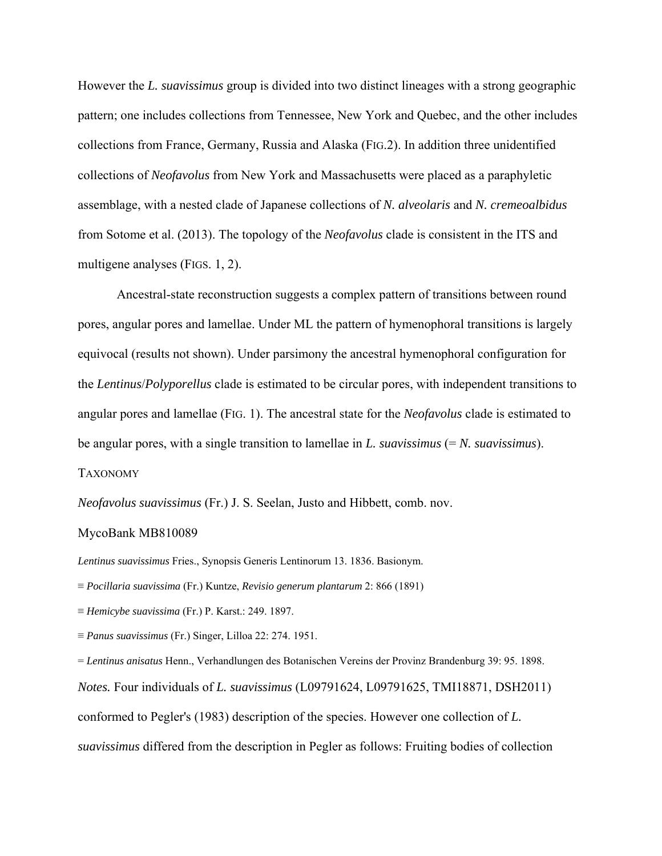However the *L. suavissimus* group is divided into two distinct lineages with a strong geographic pattern; one includes collections from Tennessee, New York and Quebec, and the other includes collections from France, Germany, Russia and Alaska (FIG.2). In addition three unidentified collections of *Neofavolus* from New York and Massachusetts were placed as a paraphyletic assemblage, with a nested clade of Japanese collections of *N. alveolaris* and *N. cremeoalbidus* from Sotome et al. (2013). The topology of the *Neofavolus* clade is consistent in the ITS and multigene analyses (FIGS. 1, 2).

 Ancestral-state reconstruction suggests a complex pattern of transitions between round pores, angular pores and lamellae. Under ML the pattern of hymenophoral transitions is largely equivocal (results not shown). Under parsimony the ancestral hymenophoral configuration for the *Lentinus*/*Polyporellus* clade is estimated to be circular pores, with independent transitions to angular pores and lamellae (FIG. 1). The ancestral state for the *Neofavolus* clade is estimated to be angular pores, with a single transition to lamellae in *L. suavissimus* (= *N. suavissimus*). TAXONOMY

*Neofavolus suavissimus* (Fr.) J. S. Seelan, Justo and Hibbett, comb. nov.

## MycoBank MB810089

*Lentinus suavissimus* Fries., Synopsis Generis Lentinorum 13. 1836. Basionym.

≡ *Panus suavissimus* (Fr.) Singer, Lilloa 22: 274. 1951.

= *Lentinus anisatus* Henn., Verhandlungen des Botanischen Vereins der Provinz Brandenburg 39: 95. 1898. *Notes.* Four individuals of *L. suavissimus* (L09791624, L09791625, TMI18871, DSH2011) conformed to Pegler's (1983) description of the species. However one collection of *L. suavissimus* differed from the description in Pegler as follows: Fruiting bodies of collection

<sup>≡</sup> *Pocillaria suavissima* (Fr.) Kuntze, *Revisio generum plantarum* 2: 866 (1891)

<sup>≡</sup> *Hemicybe suavissima* (Fr.) P. Karst.: 249. 1897.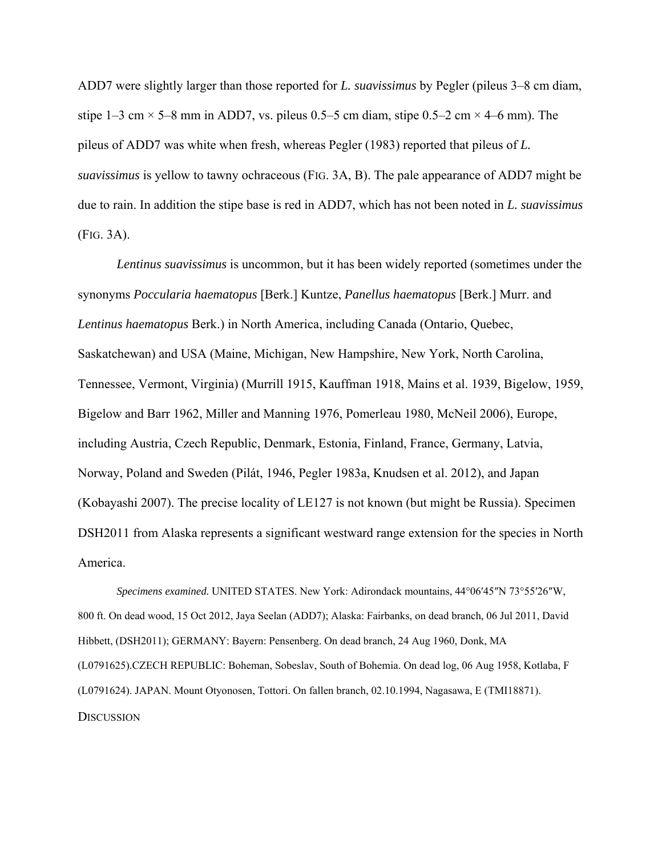ADD7 were slightly larger than those reported for *L. suavissimus* by Pegler (pileus 3–8 cm diam, stipe 1–3 cm  $\times$  5–8 mm in ADD7, vs. pileus 0.5–5 cm diam, stipe 0.5–2 cm  $\times$  4–6 mm). The pileus of ADD7 was white when fresh, whereas Pegler (1983) reported that pileus of *L. suavissimus* is yellow to tawny ochraceous (FIG. 3A, B). The pale appearance of ADD7 might be due to rain. In addition the stipe base is red in ADD7, which has not been noted in *L. suavissimus* (FIG. 3A).

*Lentinus suavissimus* is uncommon, but it has been widely reported (sometimes under the synonyms *Poccularia haematopus* [Berk.] Kuntze, *Panellus haematopus* [Berk.] Murr. and *Lentinus haematopus* Berk.) in North America, including Canada (Ontario, Quebec, Saskatchewan) and USA (Maine, Michigan, New Hampshire, New York, North Carolina, Tennessee, Vermont, Virginia) (Murrill 1915, Kauffman 1918, Mains et al. 1939, Bigelow, 1959, Bigelow and Barr 1962, Miller and Manning 1976, Pomerleau 1980, McNeil 2006), Europe, including Austria, Czech Republic, Denmark, Estonia, Finland, France, Germany, Latvia, Norway, Poland and Sweden (Pilát, 1946, Pegler 1983a, Knudsen et al. 2012), and Japan (Kobayashi 2007). The precise locality of LE127 is not known (but might be Russia). Specimen DSH2011 from Alaska represents a significant westward range extension for the species in North America.

*Specimens examined.* UNITED STATES. New York: Adirondack mountains, 44°06′45″N 73°55′26″W, 800 ft. On dead wood, 15 Oct 2012, Jaya Seelan (ADD7); Alaska: Fairbanks, on dead branch, 06 Jul 2011, David Hibbett, (DSH2011); GERMANY: Bayern: Pensenberg. On dead branch, 24 Aug 1960, Donk, MA (L0791625).CZECH REPUBLIC: Boheman, Sobeslav, South of Bohemia. On dead log, 06 Aug 1958, Kotlaba, F (L0791624). JAPAN. Mount Otyonosen, Tottori. On fallen branch, 02.10.1994, Nagasawa, E (TMI18871). **DISCUSSION**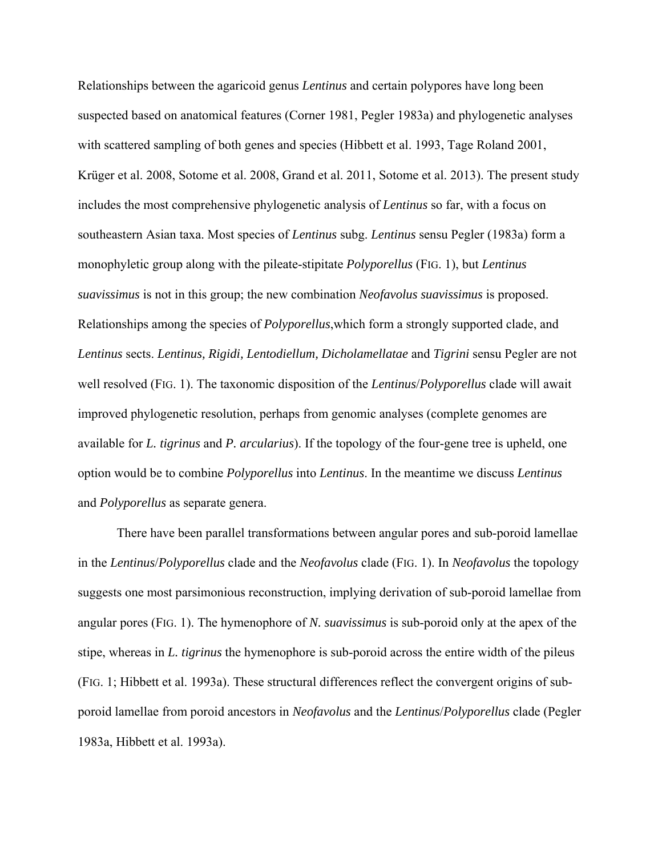Relationships between the agaricoid genus *Lentinus* and certain polypores have long been suspected based on anatomical features (Corner 1981, Pegler 1983a) and phylogenetic analyses with scattered sampling of both genes and species (Hibbett et al. 1993, Tage Roland 2001, Krüger et al. 2008, Sotome et al. 2008, Grand et al. 2011, Sotome et al. 2013). The present study includes the most comprehensive phylogenetic analysis of *Lentinus* so far, with a focus on southeastern Asian taxa. Most species of *Lentinus* subg. *Lentinus* sensu Pegler (1983a) form a monophyletic group along with the pileate-stipitate *Polyporellus* (FIG. 1), but *Lentinus suavissimus* is not in this group; the new combination *Neofavolus suavissimus* is proposed. Relationships among the species of *Polyporellus*,which form a strongly supported clade, and *Lentinus* sects. *Lentinus, Rigidi, Lentodiellum, Dicholamellatae* and *Tigrini* sensu Pegler are not well resolved (FIG. 1). The taxonomic disposition of the *Lentinus*/*Polyporellus* clade will await improved phylogenetic resolution, perhaps from genomic analyses (complete genomes are available for *L. tigrinus* and *P. arcularius*). If the topology of the four-gene tree is upheld, one option would be to combine *Polyporellus* into *Lentinus*. In the meantime we discuss *Lentinus*  and *Polyporellus* as separate genera.

 There have been parallel transformations between angular pores and sub-poroid lamellae in the *Lentinus*/*Polyporellus* clade and the *Neofavolus* clade (FIG. 1). In *Neofavolus* the topology suggests one most parsimonious reconstruction, implying derivation of sub-poroid lamellae from angular pores (FIG. 1). The hymenophore of *N. suavissimus* is sub-poroid only at the apex of the stipe, whereas in *L. tigrinus* the hymenophore is sub-poroid across the entire width of the pileus (FIG. 1; Hibbett et al. 1993a). These structural differences reflect the convergent origins of subporoid lamellae from poroid ancestors in *Neofavolus* and the *Lentinus*/*Polyporellus* clade (Pegler 1983a, Hibbett et al. 1993a).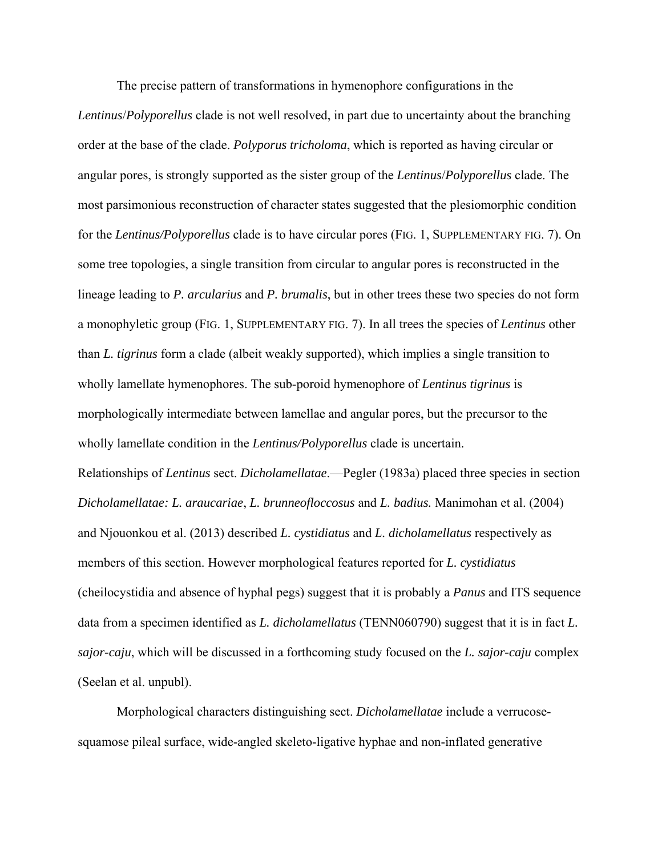The precise pattern of transformations in hymenophore configurations in the *Lentinus*/*Polyporellus* clade is not well resolved, in part due to uncertainty about the branching order at the base of the clade. *Polyporus tricholoma*, which is reported as having circular or angular pores, is strongly supported as the sister group of the *Lentinus*/*Polyporellus* clade. The most parsimonious reconstruction of character states suggested that the plesiomorphic condition for the *Lentinus/Polyporellus* clade is to have circular pores (FIG. 1, SUPPLEMENTARY FIG. 7). On some tree topologies, a single transition from circular to angular pores is reconstructed in the lineage leading to *P. arcularius* and *P. brumalis*, but in other trees these two species do not form a monophyletic group (FIG. 1, SUPPLEMENTARY FIG. 7). In all trees the species of *Lentinus* other than *L. tigrinus* form a clade (albeit weakly supported), which implies a single transition to wholly lamellate hymenophores. The sub-poroid hymenophore of *Lentinus tigrinus* is morphologically intermediate between lamellae and angular pores, but the precursor to the wholly lamellate condition in the *Lentinus/Polyporellus* clade is uncertain. Relationships of *Lentinus* sect. *Dicholamellatae*.—Pegler (1983a) placed three species in section *Dicholamellatae: L. araucariae*, *L. brunneofloccosus* and *L. badius.* Manimohan et al. (2004) and Njouonkou et al. (2013) described *L. cystidiatus* and *L. dicholamellatus* respectively as members of this section. However morphological features reported for *L. cystidiatus* (cheilocystidia and absence of hyphal pegs) suggest that it is probably a *Panus* and ITS sequence data from a specimen identified as *L. dicholamellatus* (TENN060790) suggest that it is in fact *L. sajor-caju*, which will be discussed in a forthcoming study focused on the *L. sajor-caju* complex (Seelan et al. unpubl).

Morphological characters distinguishing sect. *Dicholamellatae* include a verrucosesquamose pileal surface, wide-angled skeleto-ligative hyphae and non-inflated generative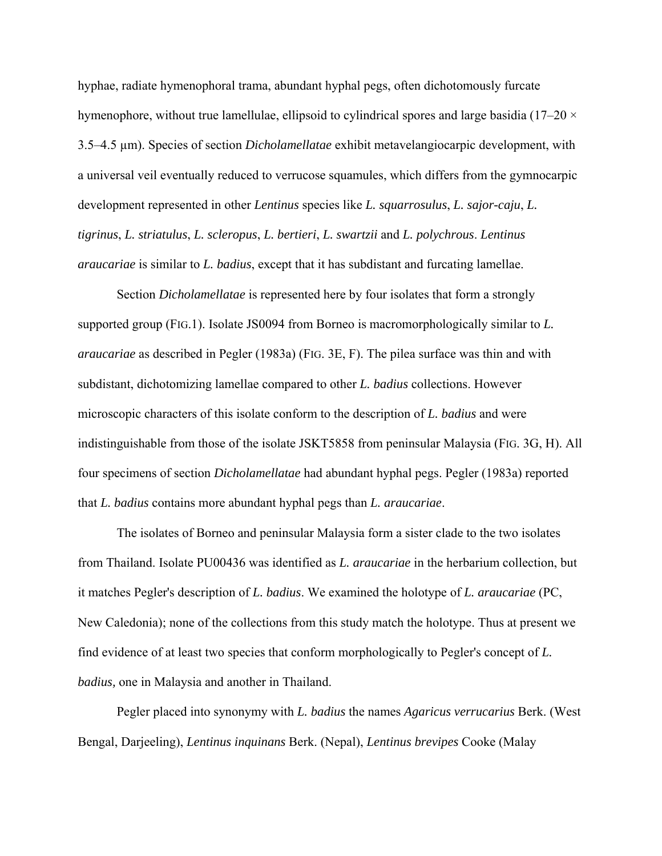hyphae, radiate hymenophoral trama, abundant hyphal pegs, often dichotomously furcate hymenophore, without true lamellulae, ellipsoid to cylindrical spores and large basidia (17–20  $\times$ 3.5–4.5 µm). Species of section *Dicholamellatae* exhibit metavelangiocarpic development, with a universal veil eventually reduced to verrucose squamules, which differs from the gymnocarpic development represented in other *Lentinus* species like *L. squarrosulus*, *L. sajor-caju*, *L. tigrinus*, *L. striatulus*, *L. scleropus*, *L. bertieri*, *L. swartzii* and *L. polychrous*. *Lentinus araucariae* is similar to *L. badius*, except that it has subdistant and furcating lamellae.

Section *Dicholamellatae* is represented here by four isolates that form a strongly supported group (FIG.1). Isolate JS0094 from Borneo is macromorphologically similar to *L. araucariae* as described in Pegler (1983a) (FIG. 3E, F). The pilea surface was thin and with subdistant, dichotomizing lamellae compared to other *L. badius* collections. However microscopic characters of this isolate conform to the description of *L. badius* and were indistinguishable from those of the isolate JSKT5858 from peninsular Malaysia (FIG. 3G, H). All four specimens of section *Dicholamellatae* had abundant hyphal pegs. Pegler (1983a) reported that *L. badius* contains more abundant hyphal pegs than *L. araucariae*.

The isolates of Borneo and peninsular Malaysia form a sister clade to the two isolates from Thailand. Isolate PU00436 was identified as *L. araucariae* in the herbarium collection, but it matches Pegler's description of *L. badius*. We examined the holotype of *L. araucariae* (PC, New Caledonia); none of the collections from this study match the holotype. Thus at present we find evidence of at least two species that conform morphologically to Pegler's concept of *L. badius,* one in Malaysia and another in Thailand.

Pegler placed into synonymy with *L. badius* the names *Agaricus verrucarius* Berk. (West Bengal, Darjeeling), *Lentinus inquinans* Berk. (Nepal), *Lentinus brevipes* Cooke (Malay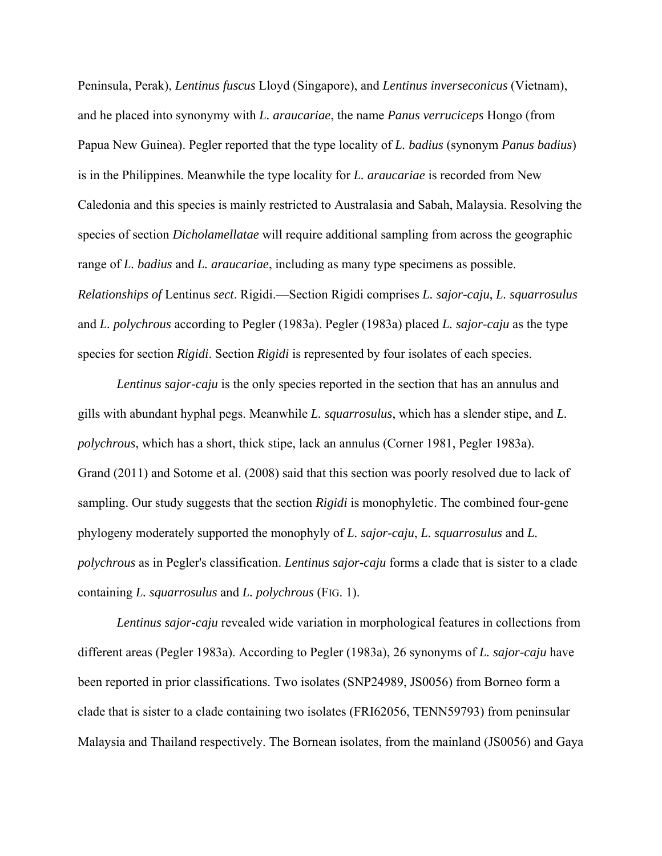Peninsula, Perak), *Lentinus fuscus* Lloyd (Singapore), and *Lentinus inverseconicus* (Vietnam), and he placed into synonymy with *L. araucariae*, the name *Panus verruciceps* Hongo (from Papua New Guinea). Pegler reported that the type locality of *L. badius* (synonym *Panus badius*) is in the Philippines. Meanwhile the type locality for *L. araucariae* is recorded from New Caledonia and this species is mainly restricted to Australasia and Sabah, Malaysia. Resolving the species of section *Dicholamellatae* will require additional sampling from across the geographic range of *L. badius* and *L. araucariae*, including as many type specimens as possible. *Relationships of* Lentinus *sect*. Rigidi.—Section Rigidi comprises *L. sajor-caju*, *L. squarrosulus* and *L. polychrous* according to Pegler (1983a). Pegler (1983a) placed *L. sajor-caju* as the type species for section *Rigidi*. Section *Rigidi* is represented by four isolates of each species.

 *Lentinus sajor-caju* is the only species reported in the section that has an annulus and gills with abundant hyphal pegs. Meanwhile *L. squarrosulus*, which has a slender stipe, and *L. polychrous*, which has a short, thick stipe, lack an annulus (Corner 1981, Pegler 1983a). Grand (2011) and Sotome et al. (2008) said that this section was poorly resolved due to lack of sampling. Our study suggests that the section *Rigidi* is monophyletic. The combined four-gene phylogeny moderately supported the monophyly of *L. sajor-caju*, *L. squarrosulus* and *L. polychrous* as in Pegler's classification. *Lentinus sajor-caju* forms a clade that is sister to a clade containing *L. squarrosulus* and *L. polychrous* (FIG. 1).

 *Lentinus sajor-caju* revealed wide variation in morphological features in collections from different areas (Pegler 1983a). According to Pegler (1983a), 26 synonyms of *L. sajor-caju* have been reported in prior classifications. Two isolates (SNP24989, JS0056) from Borneo form a clade that is sister to a clade containing two isolates (FRI62056, TENN59793) from peninsular Malaysia and Thailand respectively. The Bornean isolates, from the mainland (JS0056) and Gaya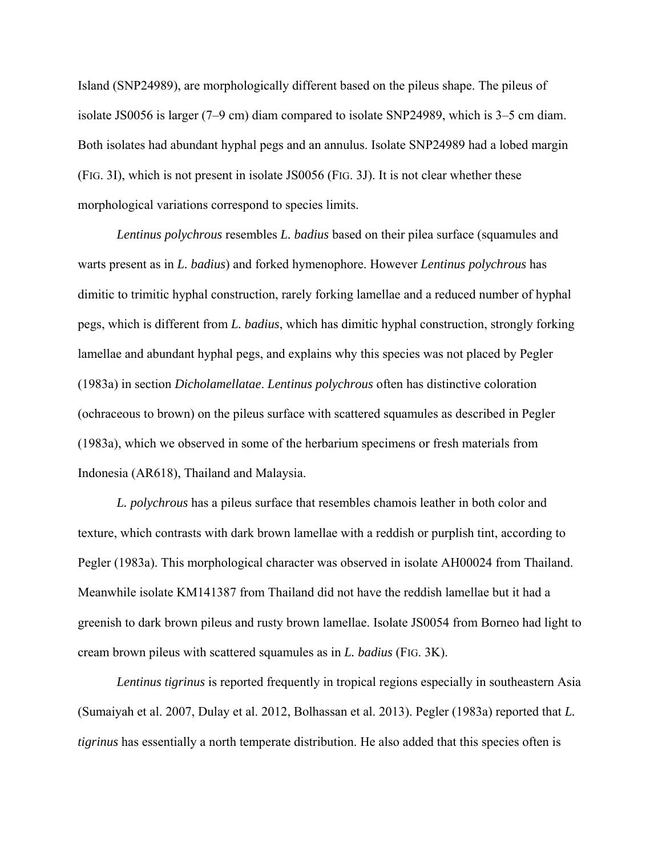Island (SNP24989), are morphologically different based on the pileus shape. The pileus of isolate JS0056 is larger (7–9 cm) diam compared to isolate SNP24989, which is 3–5 cm diam. Both isolates had abundant hyphal pegs and an annulus. Isolate SNP24989 had a lobed margin (FIG. 3I), which is not present in isolate JS0056 (FIG. 3J). It is not clear whether these morphological variations correspond to species limits.

*Lentinus polychrous* resembles *L. badius* based on their pilea surface (squamules and warts present as in *L. badius*) and forked hymenophore. However *Lentinus polychrous* has dimitic to trimitic hyphal construction, rarely forking lamellae and a reduced number of hyphal pegs, which is different from *L. badius*, which has dimitic hyphal construction, strongly forking lamellae and abundant hyphal pegs, and explains why this species was not placed by Pegler (1983a) in section *Dicholamellatae*. *Lentinus polychrous* often has distinctive coloration (ochraceous to brown) on the pileus surface with scattered squamules as described in Pegler (1983a), which we observed in some of the herbarium specimens or fresh materials from Indonesia (AR618), Thailand and Malaysia.

*L. polychrous* has a pileus surface that resembles chamois leather in both color and texture, which contrasts with dark brown lamellae with a reddish or purplish tint, according to Pegler (1983a). This morphological character was observed in isolate AH00024 from Thailand. Meanwhile isolate KM141387 from Thailand did not have the reddish lamellae but it had a greenish to dark brown pileus and rusty brown lamellae. Isolate JS0054 from Borneo had light to cream brown pileus with scattered squamules as in *L. badius* (FIG. 3K).

 *Lentinus tigrinus* is reported frequently in tropical regions especially in southeastern Asia (Sumaiyah et al. 2007, Dulay et al. 2012, Bolhassan et al. 2013). Pegler (1983a) reported that *L. tigrinus* has essentially a north temperate distribution. He also added that this species often is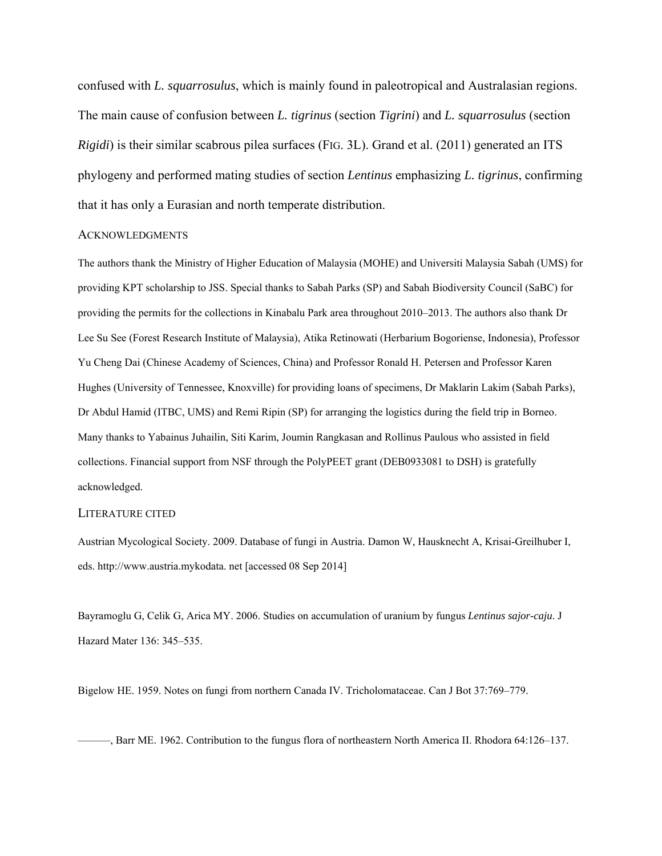confused with *L. squarrosulus*, which is mainly found in paleotropical and Australasian regions. The main cause of confusion between *L. tigrinus* (section *Tigrini*) and *L. squarrosulus* (section *Rigidi*) is their similar scabrous pilea surfaces (FIG. 3L). Grand et al. (2011) generated an ITS phylogeny and performed mating studies of section *Lentinus* emphasizing *L. tigrinus*, confirming that it has only a Eurasian and north temperate distribution.

#### ACKNOWLEDGMENTS

The authors thank the Ministry of Higher Education of Malaysia (MOHE) and Universiti Malaysia Sabah (UMS) for providing KPT scholarship to JSS. Special thanks to Sabah Parks (SP) and Sabah Biodiversity Council (SaBC) for providing the permits for the collections in Kinabalu Park area throughout 2010–2013. The authors also thank Dr Lee Su See (Forest Research Institute of Malaysia), Atika Retinowati (Herbarium Bogoriense, Indonesia), Professor Yu Cheng Dai (Chinese Academy of Sciences, China) and Professor Ronald H. Petersen and Professor Karen Hughes (University of Tennessee, Knoxville) for providing loans of specimens, Dr Maklarin Lakim (Sabah Parks), Dr Abdul Hamid (ITBC, UMS) and Remi Ripin (SP) for arranging the logistics during the field trip in Borneo. Many thanks to Yabainus Juhailin, Siti Karim, Joumin Rangkasan and Rollinus Paulous who assisted in field collections. Financial support from NSF through the PolyPEET grant (DEB0933081 to DSH) is gratefully acknowledged.

#### LITERATURE CITED

Austrian Mycological Society. 2009. Database of fungi in Austria. Damon W, Hausknecht A, Krisai-Greilhuber I, eds. http://www.austria.mykodata. net [accessed 08 Sep 2014]

Bayramoglu G, Celik G, Arica MY. 2006. Studies on accumulation of uranium by fungus *Lentinus sajor-caju*. J Hazard Mater 136: 345–535.

Bigelow HE. 1959. Notes on fungi from northern Canada IV. Tricholomataceae. Can J Bot 37:769–779.

———, Barr ME. 1962. Contribution to the fungus flora of northeastern North America II. Rhodora 64:126–137.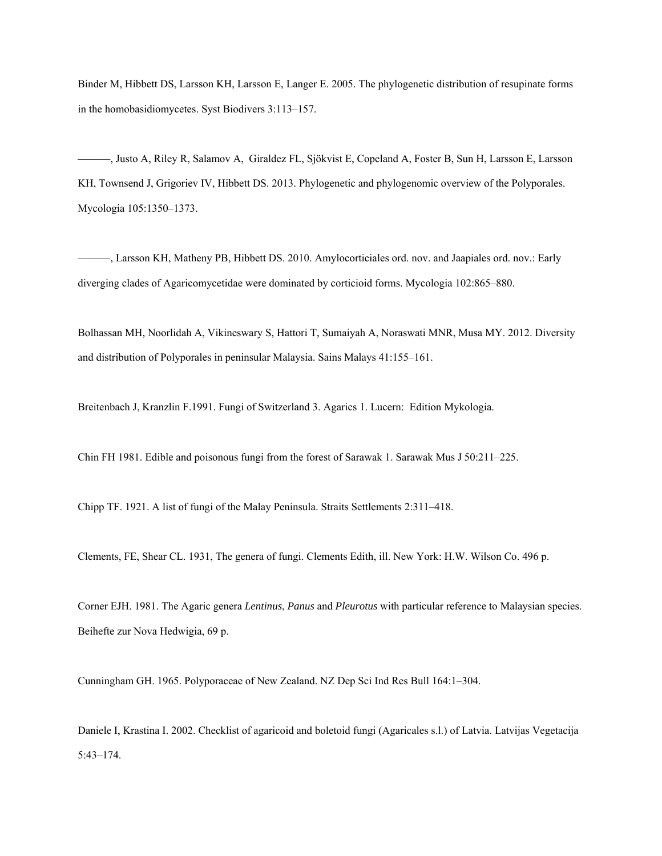Binder M, Hibbett DS, Larsson KH, Larsson E, Langer E. 2005. The phylogenetic distribution of resupinate forms in the homobasidiomycetes. Syst Biodivers 3:113–157.

———, Justo A, Riley R, Salamov A, Giraldez FL, Sjökvist E, Copeland A, Foster B, Sun H, Larsson E, Larsson KH, Townsend J, Grigoriev IV, Hibbett DS. 2013. Phylogenetic and phylogenomic overview of the Polyporales. Mycologia 105:1350–1373.

———, Larsson KH, Matheny PB, Hibbett DS. 2010. Amylocorticiales ord. nov. and Jaapiales ord. nov.: Early diverging clades of Agaricomycetidae were dominated by corticioid forms. Mycologia 102:865–880.

Bolhassan MH, Noorlidah A, Vikineswary S, Hattori T, Sumaiyah A, Noraswati MNR, Musa MY. 2012. Diversity and distribution of Polyporales in peninsular Malaysia. Sains Malays 41:155–161.

Breitenbach J, Kranzlin F.1991. Fungi of Switzerland 3. Agarics 1. Lucern: Edition Mykologia.

Chin FH 1981. Edible and poisonous fungi from the forest of Sarawak 1. Sarawak Mus J 50:211–225.

Chipp TF. 1921. A list of fungi of the Malay Peninsula. Straits Settlements 2:311–418.

Clements, FE, Shear CL. 1931, The genera of fungi. Clements Edith, ill. New York: H.W. Wilson Co. 496 p.

Corner EJH. 1981. The Agaric genera *Lentinus*, *Panus* and *Pleurotus* with particular reference to Malaysian species. Beihefte zur Nova Hedwigia, 69 p.

Cunningham GH. 1965. Polyporaceae of New Zealand. NZ Dep Sci Ind Res Bull 164:1–304.

Daniele I, Krastina I. 2002. Checklist of agaricoid and boletoid fungi (Agaricales s.l.) of Latvia. Latvijas Vegetacija 5:43–174.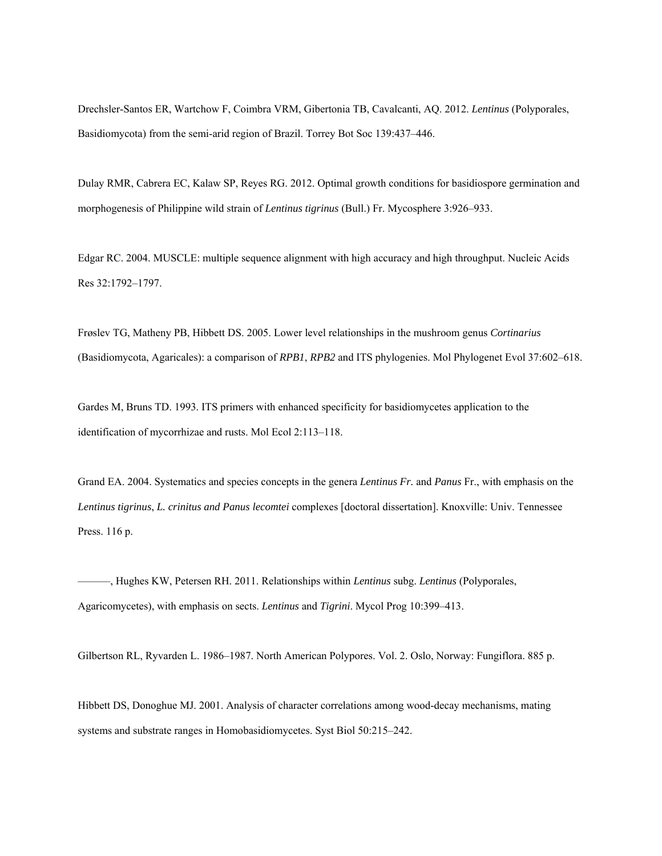Drechsler-Santos ER, Wartchow F, Coimbra VRM, Gibertonia TB, Cavalcanti, AQ. 2012. *Lentinus* (Polyporales, Basidiomycota) from the semi-arid region of Brazil. Torrey Bot Soc 139:437–446.

Dulay RMR, Cabrera EC, Kalaw SP, Reyes RG. 2012. Optimal growth conditions for basidiospore germination and morphogenesis of Philippine wild strain of *Lentinus tigrinus* (Bull.) Fr. Mycosphere 3:926–933.

Edgar RC. 2004. MUSCLE: multiple sequence alignment with high accuracy and high throughput. Nucleic Acids Res 32:1792–1797.

Frøslev TG, Matheny PB, Hibbett DS. 2005. Lower level relationships in the mushroom genus *Cortinarius* (Basidiomycota, Agaricales): a comparison of *RPB1*, *RPB2* and ITS phylogenies. Mol Phylogenet Evol 37:602–618.

Gardes M, Bruns TD. 1993. ITS primers with enhanced specificity for basidiomycetes application to the identification of mycorrhizae and rusts. Mol Ecol 2:113–118.

Grand EA. 2004. Systematics and species concepts in the genera *Lentinus Fr.* and *Panus* Fr., with emphasis on the *Lentinus tigrinus*, *L. crinitus and Panus lecomtei* complexes [doctoral dissertation]. Knoxville: Univ. Tennessee Press. 116 p.

———, Hughes KW, Petersen RH. 2011. Relationships within *Lentinus* subg. *Lentinus* (Polyporales, Agaricomycetes), with emphasis on sects. *Lentinus* and *Tigrini*. Mycol Prog 10:399–413.

Gilbertson RL, Ryvarden L. 1986–1987. North American Polypores. Vol. 2. Oslo, Norway: Fungiflora. 885 p.

Hibbett DS, Donoghue MJ. 2001. Analysis of character correlations among wood-decay mechanisms, mating systems and substrate ranges in Homobasidiomycetes. Syst Biol 50:215–242.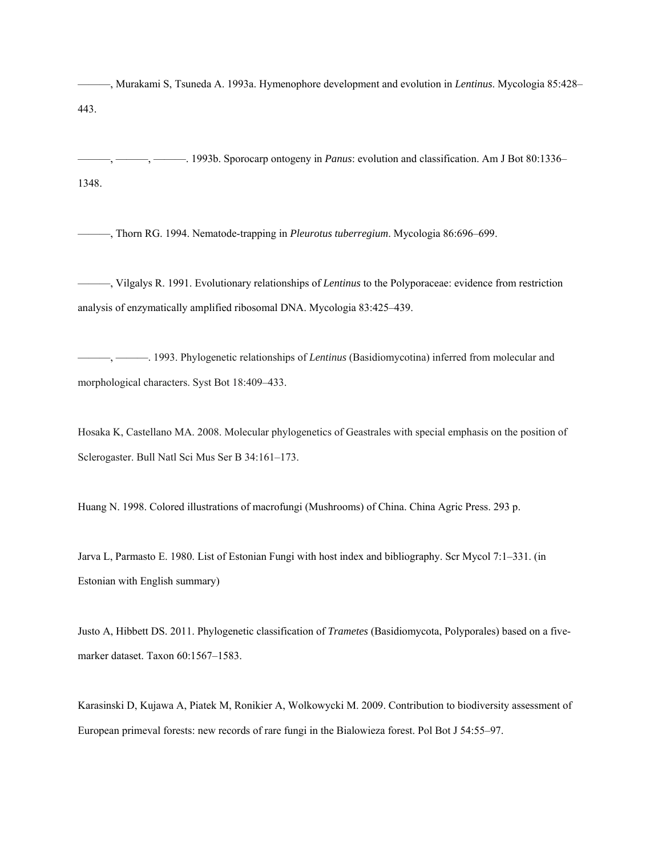———, Murakami S, Tsuneda A. 1993a. Hymenophore development and evolution in *Lentinus*. Mycologia 85:428– 443.

———, ———, ———. 1993b. Sporocarp ontogeny in *Panus*: evolution and classification. Am J Bot 80:1336– 1348.

———, Thorn RG. 1994. Nematode-trapping in *Pleurotus tuberregium*. Mycologia 86:696–699.

———, Vilgalys R. 1991. Evolutionary relationships of *Lentinus* to the Polyporaceae: evidence from restriction analysis of enzymatically amplified ribosomal DNA. Mycologia 83:425–439.

———, ———. 1993. Phylogenetic relationships of *Lentinus* (Basidiomycotina) inferred from molecular and morphological characters. Syst Bot 18:409–433.

Hosaka K, Castellano MA. 2008. Molecular phylogenetics of Geastrales with special emphasis on the position of Sclerogaster. Bull Natl Sci Mus Ser B 34:161–173.

Huang N. 1998. Colored illustrations of macrofungi (Mushrooms) of China. China Agric Press. 293 p.

Jarva L, Parmasto E. 1980. List of Estonian Fungi with host index and bibliography. Scr Mycol 7:1–331. (in Estonian with English summary)

Justo A, Hibbett DS. 2011. Phylogenetic classification of *Trametes* (Basidiomycota, Polyporales) based on a fivemarker dataset. Taxon 60:1567–1583.

Karasinski D, Kujawa A, Piatek M, Ronikier A, Wolkowycki M. 2009. Contribution to biodiversity assessment of European primeval forests: new records of rare fungi in the Bialowieza forest. Pol Bot J 54:55–97.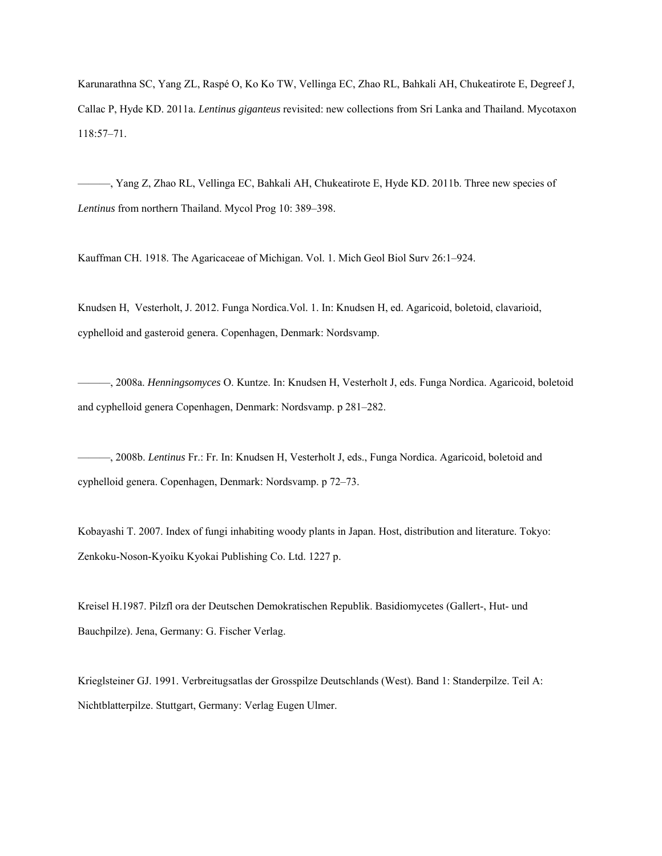Karunarathna SC, Yang ZL, Raspé O, Ko Ko TW, Vellinga EC, Zhao RL, Bahkali AH, Chukeatirote E, Degreef J, Callac P, Hyde KD. 2011a. *Lentinus giganteus* revisited: new collections from Sri Lanka and Thailand. Mycotaxon 118:57–71.

———, Yang Z, Zhao RL, Vellinga EC, Bahkali AH, Chukeatirote E, Hyde KD. 2011b. Three new species of *Lentinus* from northern Thailand. Mycol Prog 10: 389–398.

Kauffman CH. 1918. The Agaricaceae of Michigan. Vol. 1. Mich Geol Biol Surv 26:1–924.

Knudsen H, Vesterholt, J. 2012. Funga Nordica.Vol. 1. In: Knudsen H, ed. Agaricoid, boletoid, clavarioid, cyphelloid and gasteroid genera. Copenhagen, Denmark: Nordsvamp.

———, 2008a. *Henningsomyces* O. Kuntze. In: Knudsen H, Vesterholt J, eds. Funga Nordica. Agaricoid, boletoid and cyphelloid genera Copenhagen, Denmark: Nordsvamp. p 281–282.

———, 2008b. *Lentinus* Fr.: Fr. In: Knudsen H, Vesterholt J, eds., Funga Nordica. Agaricoid, boletoid and cyphelloid genera. Copenhagen, Denmark: Nordsvamp. p 72–73.

Kobayashi T. 2007. Index of fungi inhabiting woody plants in Japan. Host, distribution and literature. Tokyo: Zenkoku-Noson-Kyoiku Kyokai Publishing Co. Ltd. 1227 p.

Kreisel H.1987. Pilzfl ora der Deutschen Demokratischen Republik. Basidiomycetes (Gallert-, Hut- und Bauchpilze). Jena, Germany: G. Fischer Verlag.

Krieglsteiner GJ. 1991. Verbreitugsatlas der Grosspilze Deutschlands (West). Band 1: Standerpilze. Teil A: Nichtblatterpilze. Stuttgart, Germany: Verlag Eugen Ulmer.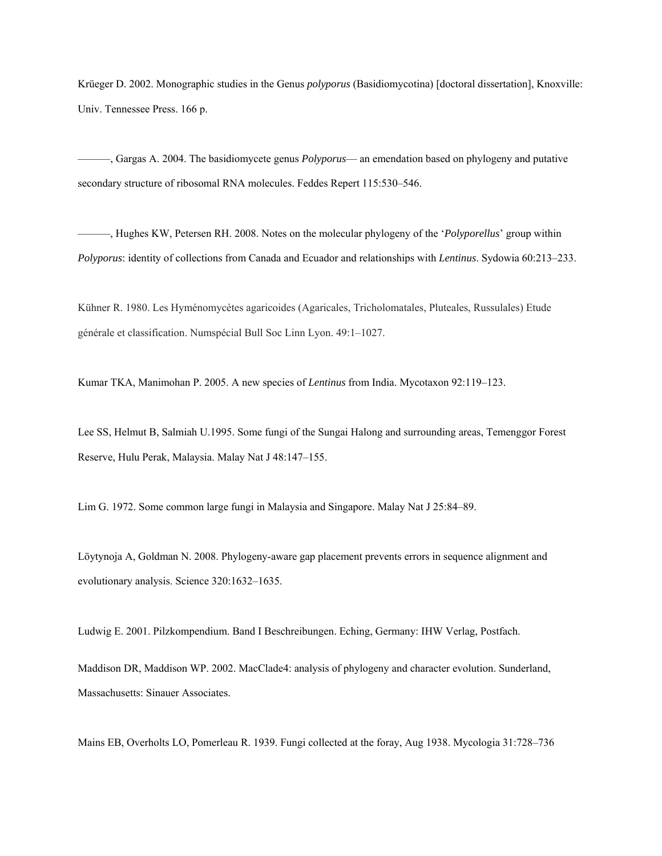Krüeger D. 2002. Monographic studies in the Genus *polyporus* (Basidiomycotina) [doctoral dissertation], Knoxville: Univ. Tennessee Press. 166 p.

———, Gargas A. 2004. The basidiomycete genus *Polyporus*— an emendation based on phylogeny and putative secondary structure of ribosomal RNA molecules. Feddes Repert 115:530–546.

———, Hughes KW, Petersen RH. 2008. Notes on the molecular phylogeny of the '*Polyporellus*' group within *Polyporus*: identity of collections from Canada and Ecuador and relationships with *Lentinus*. Sydowia 60:213–233.

Kühner R. 1980. Les Hyménomycètes agaricoides (Agaricales, Tricholomatales, Pluteales, Russulales) Etude générale et classification. Numspécial Bull Soc Linn Lyon. 49:1–1027.

Kumar TKA, Manimohan P. 2005. A new species of *Lentinus* from India. Mycotaxon 92:119–123.

Lee SS, Helmut B, Salmiah U.1995. Some fungi of the Sungai Halong and surrounding areas, Temenggor Forest Reserve, Hulu Perak, Malaysia. Malay Nat J 48:147–155.

Lim G. 1972. Some common large fungi in Malaysia and Singapore. Malay Nat J 25:84–89.

Löytynoja A, Goldman N. 2008. Phylogeny-aware gap placement prevents errors in sequence alignment and evolutionary analysis. Science 320:1632–1635.

Ludwig E. 2001. Pilzkompendium. Band I Beschreibungen. Eching, Germany: IHW Verlag, Postfach.

Maddison DR, Maddison WP. 2002. MacClade4: analysis of phylogeny and character evolution. Sunderland, Massachusetts: Sinauer Associates.

Mains EB, Overholts LO, Pomerleau R. 1939. Fungi collected at the foray, Aug 1938. Mycologia 31:728–736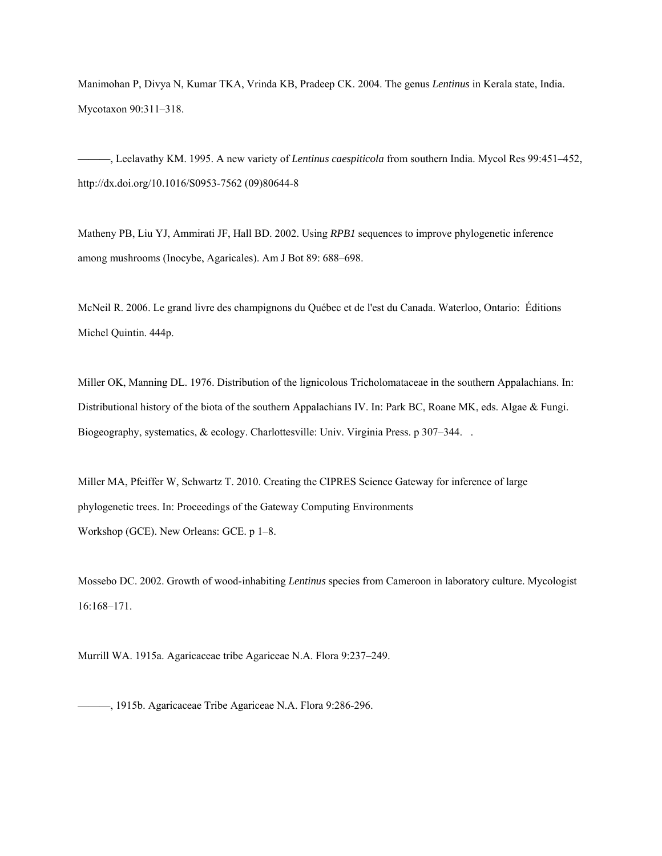Manimohan P, Divya N, Kumar TKA, Vrinda KB, Pradeep CK. 2004. The genus *Lentinus* in Kerala state, India. Mycotaxon 90:311–318.

———, Leelavathy KM. 1995. A new variety of *Lentinus caespiticola* from southern India. Mycol Res 99:451–452, http://dx.doi.org/10.1016/S0953-7562 (09)80644-8

Matheny PB, Liu YJ, Ammirati JF, Hall BD. 2002. Using *RPB1* sequences to improve phylogenetic inference among mushrooms (Inocybe, Agaricales). Am J Bot 89: 688–698.

McNeil R. 2006. Le grand livre des champignons du Québec et de l'est du Canada. Waterloo, Ontario: Éditions Michel Quintin. 444p.

Miller OK, Manning DL. 1976. Distribution of the lignicolous Tricholomataceae in the southern Appalachians. In: Distributional history of the biota of the southern Appalachians IV. In: Park BC, Roane MK, eds. Algae & Fungi. Biogeography, systematics, & ecology. Charlottesville: Univ. Virginia Press. p 307–344. .

Miller MA, Pfeiffer W, Schwartz T. 2010. Creating the CIPRES Science Gateway for inference of large phylogenetic trees. In: Proceedings of the Gateway Computing Environments Workshop (GCE). New Orleans: GCE. p 1–8.

Mossebo DC. 2002. Growth of wood-inhabiting *Lentinus* species from Cameroon in laboratory culture. Mycologist 16:168–171.

Murrill WA. 1915a. Agaricaceae tribe Agariceae N.A. Flora 9:237–249.

———, 1915b. Agaricaceae Tribe Agariceae N.A. Flora 9:286-296.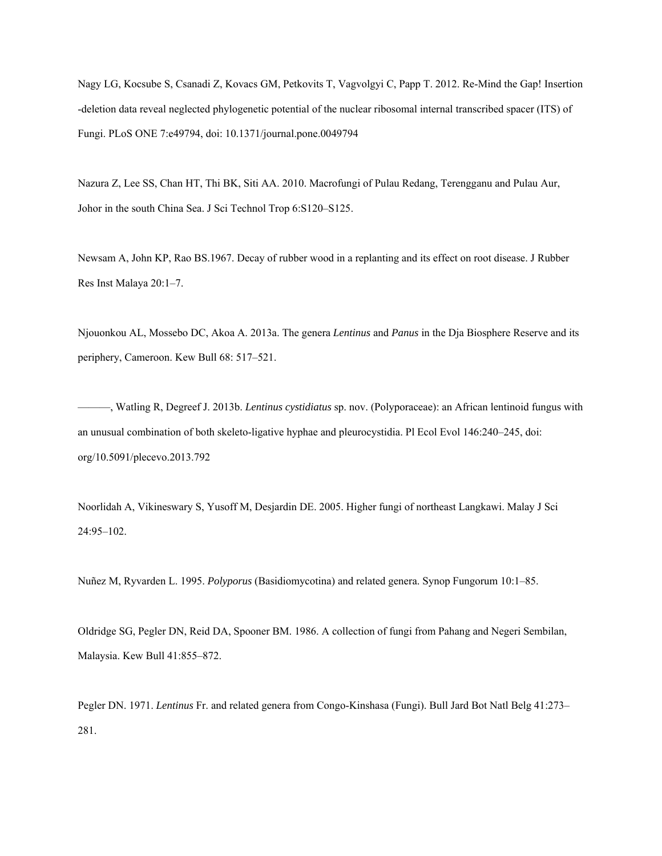Nagy LG, Kocsube S, Csanadi Z, Kovacs GM, Petkovits T, Vagvolgyi C, Papp T. 2012. Re-Mind the Gap! Insertion -deletion data reveal neglected phylogenetic potential of the nuclear ribosomal internal transcribed spacer (ITS) of Fungi. PLoS ONE 7:e49794, doi: 10.1371/journal.pone.0049794

Nazura Z, Lee SS, Chan HT, Thi BK, Siti AA. 2010. Macrofungi of Pulau Redang, Terengganu and Pulau Aur, Johor in the south China Sea. J Sci Technol Trop 6:S120–S125.

Newsam A, John KP, Rao BS.1967. Decay of rubber wood in a replanting and its effect on root disease. J Rubber Res Inst Malaya 20:1–7.

Njouonkou AL, Mossebo DC, Akoa A. 2013a. The genera *Lentinus* and *Panus* in the Dja Biosphere Reserve and its periphery, Cameroon. Kew Bull 68: 517–521.

———, Watling R, Degreef J. 2013b. *Lentinus cystidiatus* sp. nov. (Polyporaceae): an African lentinoid fungus with an unusual combination of both skeleto-ligative hyphae and pleurocystidia. Pl Ecol Evol 146:240–245, doi: org/10.5091/plecevo.2013.792

Noorlidah A, Vikineswary S, Yusoff M, Desjardin DE. 2005. Higher fungi of northeast Langkawi. Malay J Sci 24:95–102.

Nuñez M, Ryvarden L. 1995. *Polyporus* (Basidiomycotina) and related genera. Synop Fungorum 10:1–85.

Oldridge SG, Pegler DN, Reid DA, Spooner BM. 1986. A collection of fungi from Pahang and Negeri Sembilan, Malaysia. Kew Bull 41:855–872.

Pegler DN. 1971. *Lentinus* Fr. and related genera from Congo-Kinshasa (Fungi). Bull Jard Bot Natl Belg 41:273– 281.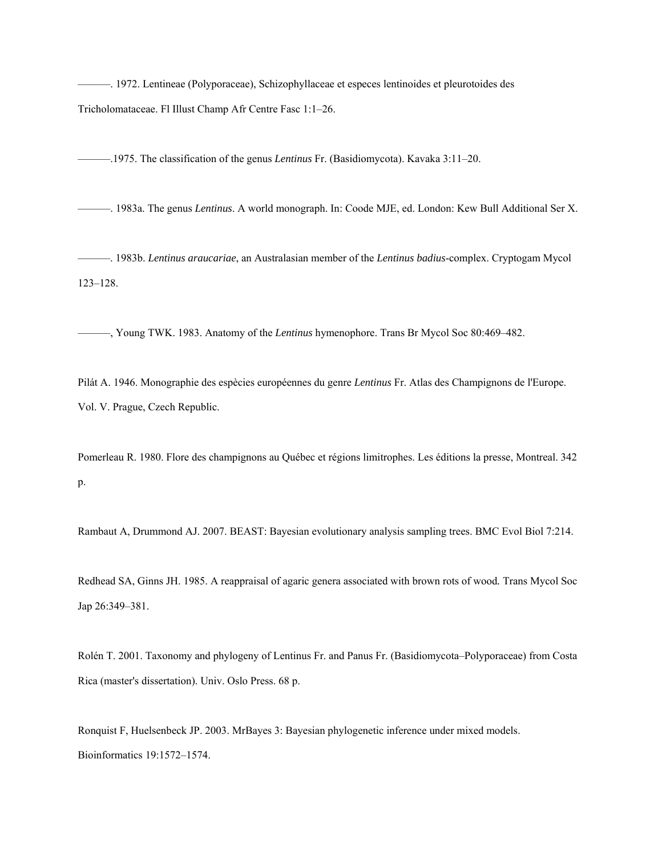———. 1972. Lentineae (Polyporaceae), Schizophyllaceae et especes lentinoides et pleurotoides des Tricholomataceae. Fl Illust Champ Afr Centre Fasc 1:1–26.

———.1975. The classification of the genus *Lentinus* Fr. (Basidiomycota). Kavaka 3:11–20.

———. 1983a. The genus *Lentinus*. A world monograph. In: Coode MJE, ed. London: Kew Bull Additional Ser X.

———. 1983b. *Lentinus araucariae*, an Australasian member of the *Lentinus badius*-complex. Cryptogam Mycol 123–128.

———, Young TWK. 1983. Anatomy of the *Lentinus* hymenophore. Trans Br Mycol Soc 80:469–482.

Pilát A. 1946. Monographie des espècies européennes du genre *Lentinus* Fr. Atlas des Champignons de l'Europe. Vol. V. Prague, Czech Republic.

Pomerleau R. 1980. Flore des champignons au Québec et régions limitrophes. Les éditions la presse, Montreal. 342 p.

Rambaut A, Drummond AJ. 2007. BEAST: Bayesian evolutionary analysis sampling trees. BMC Evol Biol 7:214.

Redhead SA, Ginns JH. 1985. A reappraisal of agaric genera associated with brown rots of wood*.* Trans Mycol Soc Jap 26:349–381.

Rolén T. 2001. Taxonomy and phylogeny of Lentinus Fr. and Panus Fr. (Basidiomycota–Polyporaceae) from Costa Rica (master's dissertation). Univ. Oslo Press. 68 p.

Ronquist F, Huelsenbeck JP. 2003. MrBayes 3: Bayesian phylogenetic inference under mixed models. Bioinformatics 19:1572–1574.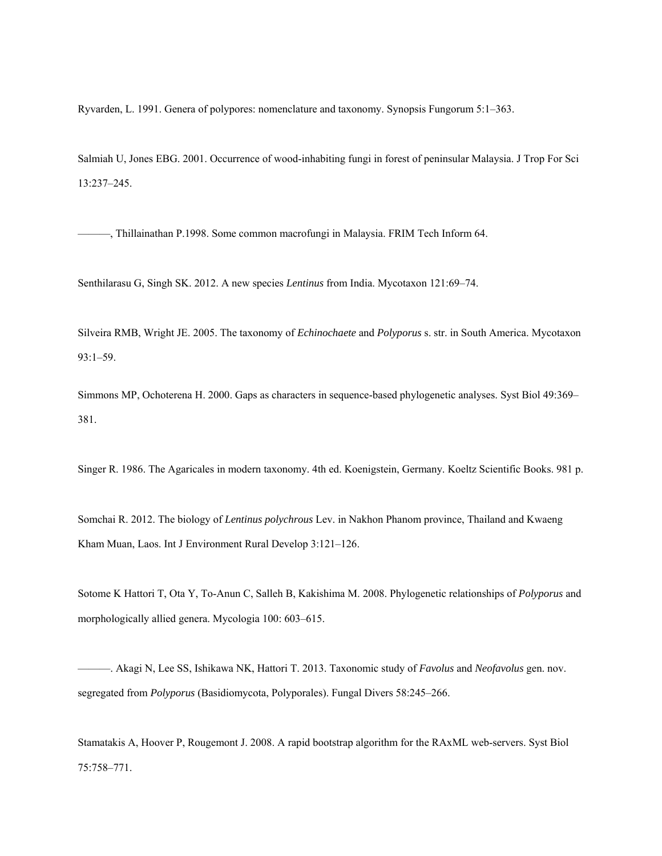Ryvarden, L. 1991. Genera of polypores: nomenclature and taxonomy. Synopsis Fungorum 5:1–363.

Salmiah U, Jones EBG. 2001. Occurrence of wood-inhabiting fungi in forest of peninsular Malaysia. J Trop For Sci 13:237–245.

———, Thillainathan P.1998. Some common macrofungi in Malaysia. FRIM Tech Inform 64.

Senthilarasu G, Singh SK. 2012. A new species *Lentinus* from India. Mycotaxon 121:69–74.

Silveira RMB, Wright JE. 2005. The taxonomy of *Echinochaete* and *Polyporus* s. str. in South America. Mycotaxon 93:1–59.

Simmons MP, Ochoterena H. 2000. Gaps as characters in sequence-based phylogenetic analyses. Syst Biol 49:369– 381.

Singer R. 1986. The Agaricales in modern taxonomy. 4th ed. Koenigstein, Germany. Koeltz Scientific Books. 981 p.

Somchai R. 2012. The biology of *Lentinus polychrous* Lev. in Nakhon Phanom province, Thailand and Kwaeng Kham Muan, Laos. Int J Environment Rural Develop 3:121–126.

Sotome K Hattori T, Ota Y, To-Anun C, Salleh B, Kakishima M. 2008. Phylogenetic relationships of *Polyporus* and morphologically allied genera. Mycologia 100: 603–615.

———. Akagi N, Lee SS, Ishikawa NK, Hattori T. 2013. Taxonomic study of *Favolus* and *Neofavolus* gen. nov. segregated from *Polyporus* (Basidiomycota, Polyporales). Fungal Divers 58:245–266.

Stamatakis A, Hoover P, Rougemont J. 2008. A rapid bootstrap algorithm for the RAxML web-servers. Syst Biol 75:758–771.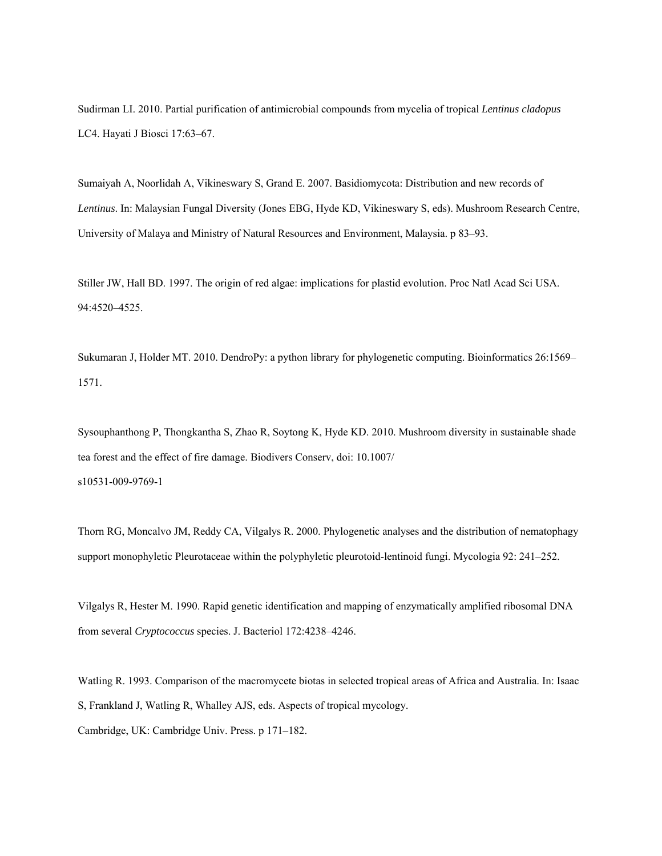Sudirman LI. 2010. Partial purification of antimicrobial compounds from mycelia of tropical *Lentinus cladopus* LC4. Hayati J Biosci 17:63–67.

Sumaiyah A, Noorlidah A, Vikineswary S, Grand E. 2007. Basidiomycota: Distribution and new records of *Lentinus*. In: Malaysian Fungal Diversity (Jones EBG, Hyde KD, Vikineswary S, eds). Mushroom Research Centre, University of Malaya and Ministry of Natural Resources and Environment, Malaysia. p 83–93.

Stiller JW, Hall BD. 1997. The origin of red algae: implications for plastid evolution. Proc Natl Acad Sci USA. 94:4520–4525.

Sukumaran J, Holder MT. 2010. DendroPy: a python library for phylogenetic computing. Bioinformatics 26:1569– 1571.

Sysouphanthong P, Thongkantha S, Zhao R, Soytong K, Hyde KD. 2010. Mushroom diversity in sustainable shade tea forest and the effect of fire damage. Biodivers Conserv, doi: 10.1007/ s10531-009-9769-1

Thorn RG, Moncalvo JM, Reddy CA, Vilgalys R. 2000. Phylogenetic analyses and the distribution of nematophagy support monophyletic Pleurotaceae within the polyphyletic pleurotoid-lentinoid fungi. Mycologia 92: 241–252.

Vilgalys R, Hester M. 1990. Rapid genetic identification and mapping of enzymatically amplified ribosomal DNA from several *Cryptococcus* species. J. Bacteriol 172:4238–4246.

Watling R. 1993. Comparison of the macromycete biotas in selected tropical areas of Africa and Australia. In: Isaac S, Frankland J, Watling R, Whalley AJS, eds. Aspects of tropical mycology. Cambridge, UK: Cambridge Univ. Press. p 171–182.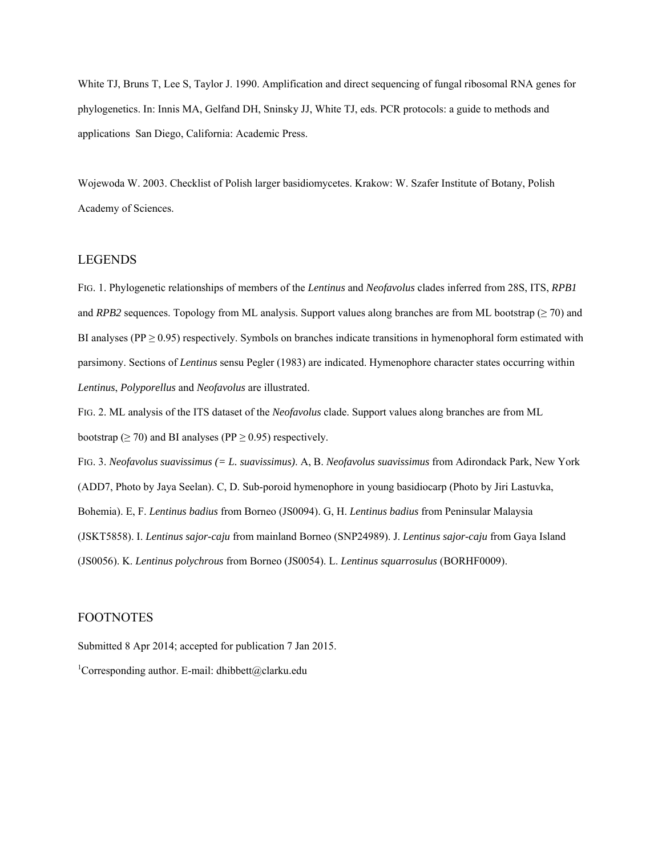White TJ, Bruns T, Lee S, Taylor J. 1990. Amplification and direct sequencing of fungal ribosomal RNA genes for phylogenetics. In: Innis MA, Gelfand DH, Sninsky JJ, White TJ, eds. PCR protocols: a guide to methods and applications San Diego, California: Academic Press.

Wojewoda W. 2003. Checklist of Polish larger basidiomycetes. Krakow: W. Szafer Institute of Botany, Polish Academy of Sciences.

# LEGENDS

FIG. 1. Phylogenetic relationships of members of the *Lentinus* and *Neofavolus* clades inferred from 28S, ITS, *RPB1* and *RPB2* sequences. Topology from ML analysis. Support values along branches are from ML bootstrap ( $\geq$  70) and BI analyses ( $PP \ge 0.95$ ) respectively. Symbols on branches indicate transitions in hymenophoral form estimated with parsimony. Sections of *Lentinus* sensu Pegler (1983) are indicated. Hymenophore character states occurring within *Lentinus*, *Polyporellus* and *Neofavolus* are illustrated.

FIG. 2. ML analysis of the ITS dataset of the *Neofavolus* clade. Support values along branches are from ML bootstrap ( $\geq$  70) and BI analyses (PP  $\geq$  0.95) respectively.

FIG. 3. *Neofavolus suavissimus (= L. suavissimus)*. A, B. *Neofavolus suavissimus* from Adirondack Park, New York (ADD7, Photo by Jaya Seelan). C, D. Sub-poroid hymenophore in young basidiocarp (Photo by Jiri Lastuvka, Bohemia). E, F. *Lentinus badius* from Borneo (JS0094). G, H. *Lentinus badius* from Peninsular Malaysia (JSKT5858). I. *Lentinus sajor-caju* from mainland Borneo (SNP24989). J. *Lentinus sajor-caju* from Gaya Island (JS0056). K. *Lentinus polychrous* from Borneo (JS0054). L. *Lentinus squarrosulus* (BORHF0009).

# FOOTNOTES

Submitted 8 Apr 2014; accepted for publication 7 Jan 2015.

<sup>1</sup>Corresponding author. E-mail: dhibbett@clarku.edu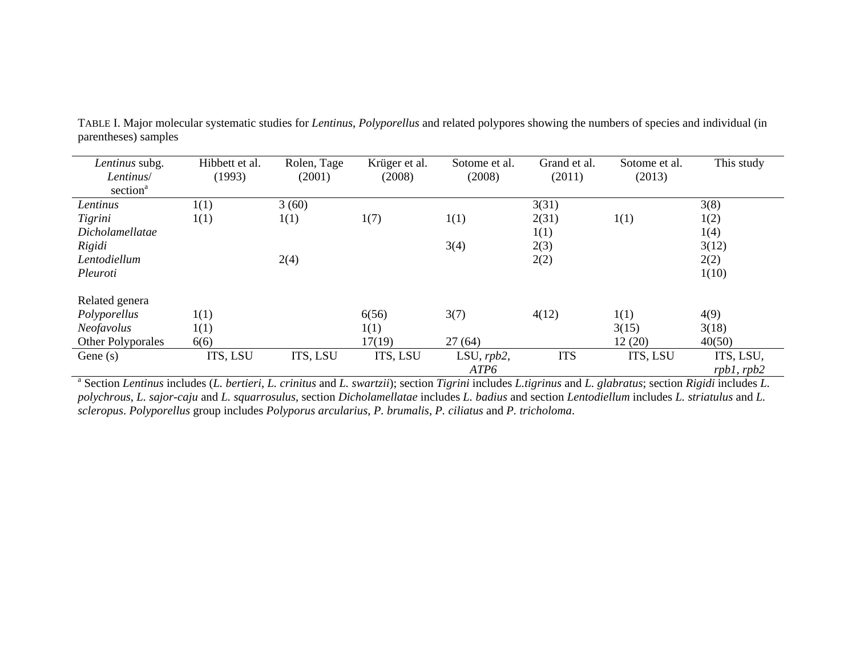| Lentinus subg.         | Hibbett et al. | Rolen, Tage | Krüger et al. | Sotome et al. | Grand et al. | Sotome et al. | This study      |
|------------------------|----------------|-------------|---------------|---------------|--------------|---------------|-----------------|
| Lentinus/              | (1993)         | (2001)      | (2008)        | (2008)        | (2011)       | (2013)        |                 |
| section <sup>a</sup>   |                |             |               |               |              |               |                 |
| Lentinus               | 1(1)           | 3(60)       |               |               | 3(31)        |               | 3(8)            |
| Tigrini                | 1(1)           | 1(1)        | 1(7)          | 1(1)          | 2(31)        | 1(1)          | 1(2)            |
| <i>Dicholamellatae</i> |                |             |               |               | 1(1)         |               | 1(4)            |
| Rigidi                 |                |             |               | 3(4)          | 2(3)         |               | 3(12)           |
| Lentodiellum           |                | 2(4)        |               |               | 2(2)         |               | 2(2)            |
| Pleuroti               |                |             |               |               |              |               | 1(10)           |
| Related genera         |                |             |               |               |              |               |                 |
| Polyporellus           | 1(1)           |             | 6(56)         | 3(7)          | 4(12)        | 1(1)          | 4(9)            |
| Neofavolus             | 1(1)           |             | 1(1)          |               |              | 3(15)         | 3(18)           |
| Other Polyporales      | 6(6)           |             | 17(19)        | 27(64)        |              | 12(20)        | 40(50)          |
| Gene $(s)$             | ITS, LSU       | ITS, LSU    | ITS, LSU      | LSU, $rpb2$ , | <b>ITS</b>   | ITS, LSU      | ITS, LSU,       |
|                        |                |             |               | ATP6          |              |               | $rnb1$ . $rnb2$ |

TABLE I. Major molecular systematic studies for *Lentinus*, *Polyporellus* and related polypores showing the numbers of species and individual (in parentheses) samples

rpb1, rpb2<br><sup>a</sup> Section Lentinus includes (L. bertieri, L. crinitus and L. swartzii); section Tigrini includes L.tigrinus and L. glabratus; section Rigidi includes L. *polychrous*, *L. sajor-caju* and *L. squarrosulus*, section *Dicholamellatae* includes *L. badius* and section *Lentodiellum* includes *L. striatulus* and *L. scleropus*. *Polyporellus* group includes *Polyporus arcularius*, *P. brumalis*, *P. ciliatus* and *P. tricholoma*.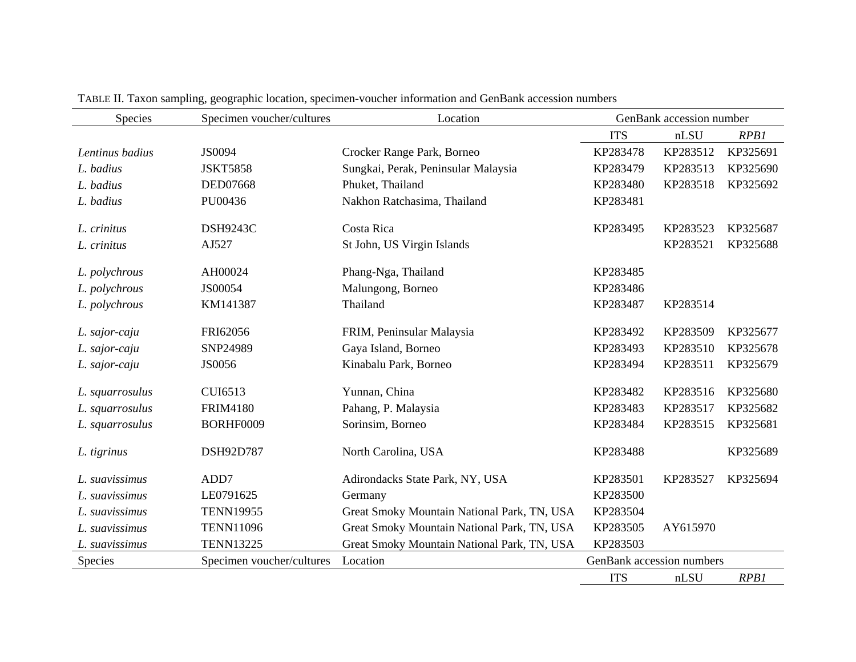| Species         | Specimen voucher/cultures | Location                                    | GenBank accession number  |          |             |
|-----------------|---------------------------|---------------------------------------------|---------------------------|----------|-------------|
|                 |                           |                                             | <b>ITS</b>                | nLSU     | <b>RPB1</b> |
| Lentinus badius | JS0094                    | Crocker Range Park, Borneo                  | KP283478                  | KP283512 | KP325691    |
| L. badius       | <b>JSKT5858</b>           | Sungkai, Perak, Peninsular Malaysia         | KP283479                  | KP283513 | KP325690    |
| L. badius       | DED07668                  | Phuket, Thailand                            | KP283480                  | KP283518 | KP325692    |
| L. badius       | PU00436                   | Nakhon Ratchasima, Thailand                 | KP283481                  |          |             |
| L. crinitus     | <b>DSH9243C</b>           | Costa Rica                                  | KP283495                  | KP283523 | KP325687    |
| L. crinitus     | AJ527                     | St John, US Virgin Islands                  |                           | KP283521 | KP325688    |
| L. polychrous   | AH00024                   | Phang-Nga, Thailand                         | KP283485                  |          |             |
| L. polychrous   | JS00054                   | Malungong, Borneo                           | KP283486                  |          |             |
| L. polychrous   | KM141387                  | Thailand                                    | KP283487                  | KP283514 |             |
| L. sajor-caju   | FRI62056                  | FRIM, Peninsular Malaysia                   | KP283492                  | KP283509 | KP325677    |
| L. sajor-caju   | SNP24989                  | Gaya Island, Borneo                         | KP283493                  | KP283510 | KP325678    |
| L. sajor-caju   | JS0056                    | Kinabalu Park, Borneo                       | KP283494                  | KP283511 | KP325679    |
| L. squarrosulus | CUI6513                   | Yunnan, China                               | KP283482                  | KP283516 | KP325680    |
| L. squarrosulus | <b>FRIM4180</b>           | Pahang, P. Malaysia                         | KP283483                  | KP283517 | KP325682    |
| L. squarrosulus | BORHF0009                 | Sorinsim, Borneo                            | KP283484                  | KP283515 | KP325681    |
| L. tigrinus     | DSH92D787                 | North Carolina, USA                         | KP283488                  |          | KP325689    |
| L. suavissimus  | ADD7                      | Adirondacks State Park, NY, USA             | KP283501                  | KP283527 | KP325694    |
| L. suavissimus  | LE0791625                 | Germany                                     | KP283500                  |          |             |
| L. suavissimus  | <b>TENN19955</b>          | Great Smoky Mountain National Park, TN, USA | KP283504                  |          |             |
| L. suavissimus  | <b>TENN11096</b>          | Great Smoky Mountain National Park, TN, USA | KP283505                  | AY615970 |             |
| L. suavissimus  | <b>TENN13225</b>          | Great Smoky Mountain National Park, TN, USA | KP283503                  |          |             |
| Species         | Specimen voucher/cultures | Location                                    | GenBank accession numbers |          |             |
|                 |                           |                                             | <b>ITS</b>                | nLSU     | RPB1        |

TABLE II. Taxon sampling, geographic location, specimen-voucher information and GenBank accession numbers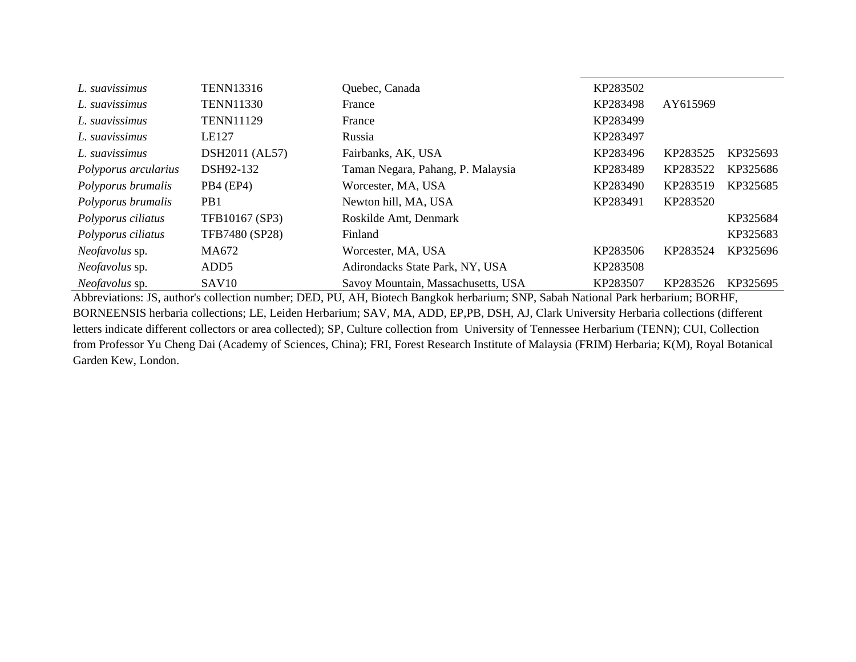| L. suavissimus       | <b>TENN13316</b>  | Quebec, Canada                     | KP283502 |          |          |
|----------------------|-------------------|------------------------------------|----------|----------|----------|
| L. suavissimus       | <b>TENN11330</b>  | France                             | KP283498 | AY615969 |          |
| L. suavissimus       | <b>TENN11129</b>  | France                             | KP283499 |          |          |
| L. suavissimus       | LE127             | Russia                             | KP283497 |          |          |
| L. suavissimus       | DSH2011 (AL57)    | Fairbanks, AK, USA                 | KP283496 | KP283525 | KP325693 |
| Polyporus arcularius | DSH92-132         | Taman Negara, Pahang, P. Malaysia  | KP283489 | KP283522 | KP325686 |
| Polyporus brumalis   | PB4 (EP4)         | Worcester, MA, USA                 | KP283490 | KP283519 | KP325685 |
| Polyporus brumalis   | PB <sub>1</sub>   | Newton hill, MA, USA               | KP283491 | KP283520 |          |
| Polyporus ciliatus   | TFB10167 (SP3)    | Roskilde Amt, Denmark              |          |          | KP325684 |
| Polyporus ciliatus   | TFB7480 (SP28)    | Finland                            |          |          | KP325683 |
| Neofavolus sp.       | MA672             | Worcester, MA, USA                 | KP283506 | KP283524 | KP325696 |
| Neofavolus sp.       | ADD <sub>5</sub>  | Adirondacks State Park, NY, USA    | KP283508 |          |          |
| Neofavolus sp.       | SAV <sub>10</sub> | Savoy Mountain, Massachusetts, USA | KP283507 | KP283526 | KP325695 |

Abbreviations: JS, author's collection number; DED, PU, AH, Biotech Bangkok herbarium; SNP, Sabah National Park herbarium; BORHF, BORNEENSIS herbaria collections; LE, Leiden Herbarium; SAV, MA, ADD, EP,PB, DSH, AJ, Clark University Herbaria collections (different letters indicate different collectors or area collected); SP, Culture collection from University of Tennessee Herbarium (TENN); CUI, Collection from Professor Yu Cheng Dai (Academy of Sciences, China); FRI, Forest Research Institute of Malaysia (FRIM) Herbaria; K(M), Royal Botanical Garden Kew, London.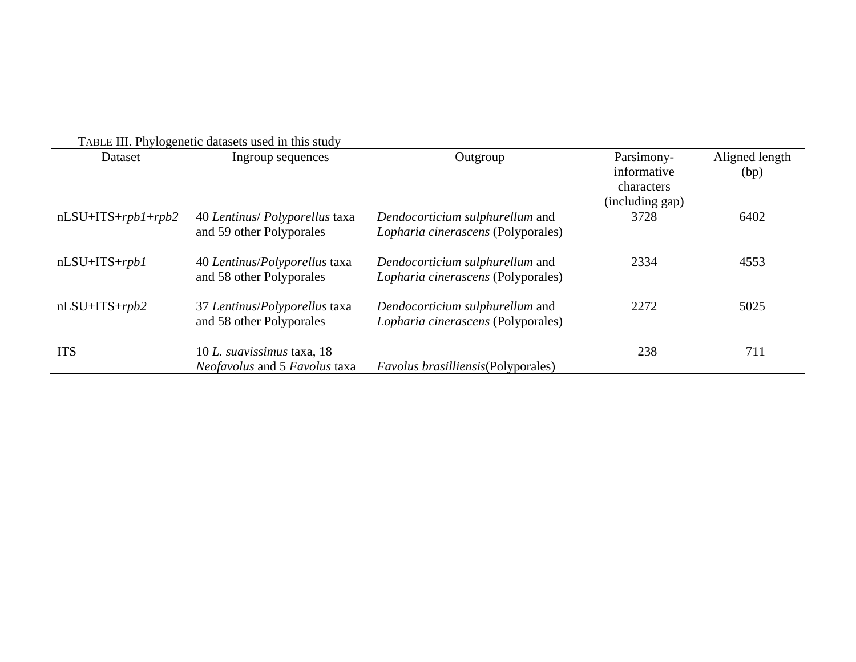| TABLE III. Phylogenetic datasets used in this study |                                                                           |                                                                       |                                                            |                        |  |  |  |
|-----------------------------------------------------|---------------------------------------------------------------------------|-----------------------------------------------------------------------|------------------------------------------------------------|------------------------|--|--|--|
| Dataset                                             | Ingroup sequences                                                         | Outgroup                                                              | Parsimony-<br>informative<br>characters<br>(including gap) | Aligned length<br>(bp) |  |  |  |
| $nLSU+ITS+ rpb1+ rpb2$                              | 40 Lentinus/ Polyporellus taxa<br>and 59 other Polyporales                | Dendocorticium sulphurellum and<br>Lopharia cinerascens (Polyporales) | 3728                                                       | 6402                   |  |  |  |
| $nLSU+ITS+rpb1$                                     | 40 Lentinus/Polyporellus taxa<br>and 58 other Polyporales                 | Dendocorticium sulphurellum and<br>Lopharia cinerascens (Polyporales) | 2334                                                       | 4553                   |  |  |  |
| $nLSU+ITS+rpb2$                                     | 37 Lentinus/Polyporellus taxa<br>and 58 other Polyporales                 | Dendocorticium sulphurellum and<br>Lopharia cinerascens (Polyporales) | 2272                                                       | 5025                   |  |  |  |
| <b>ITS</b>                                          | 10 L. suavissimus taxa, 18<br><i>Neofavolus</i> and 5 <i>Favolus</i> taxa | <i>Favolus brasilliensis</i> (Polyporales)                            | 238                                                        | 711                    |  |  |  |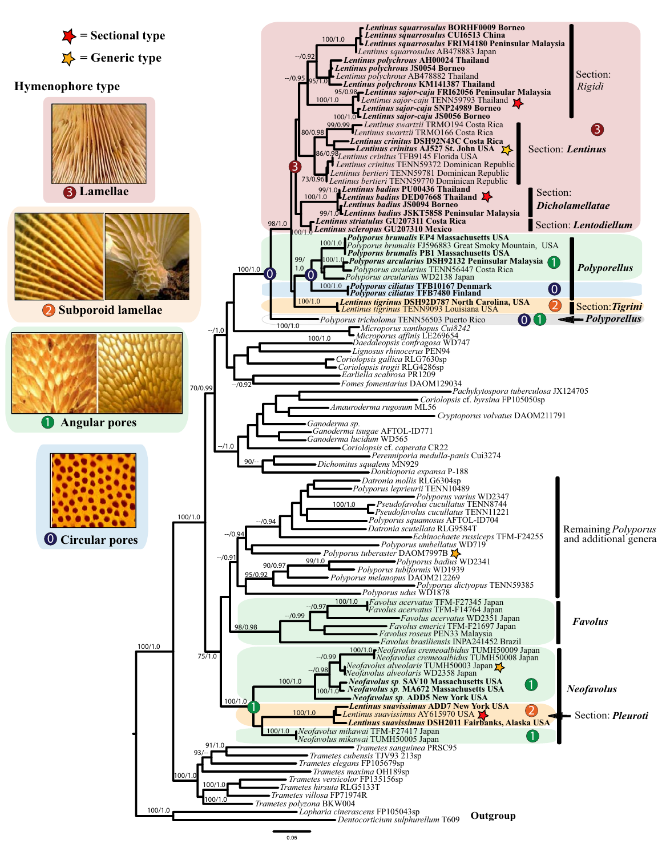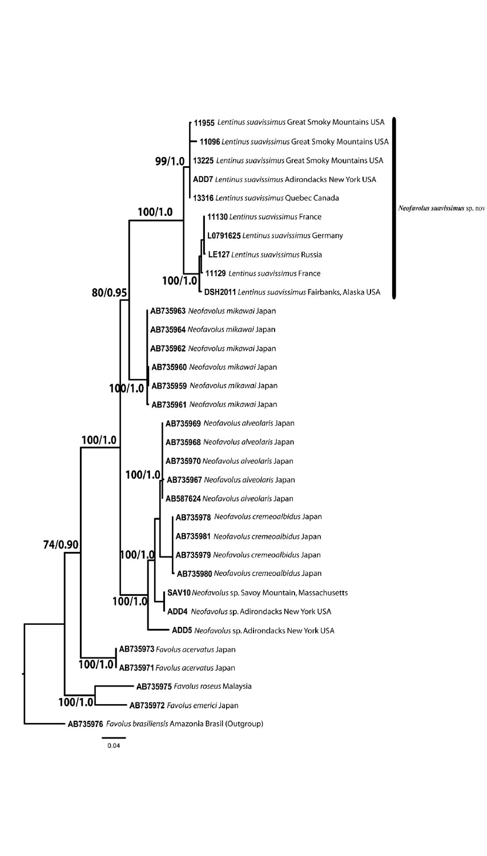